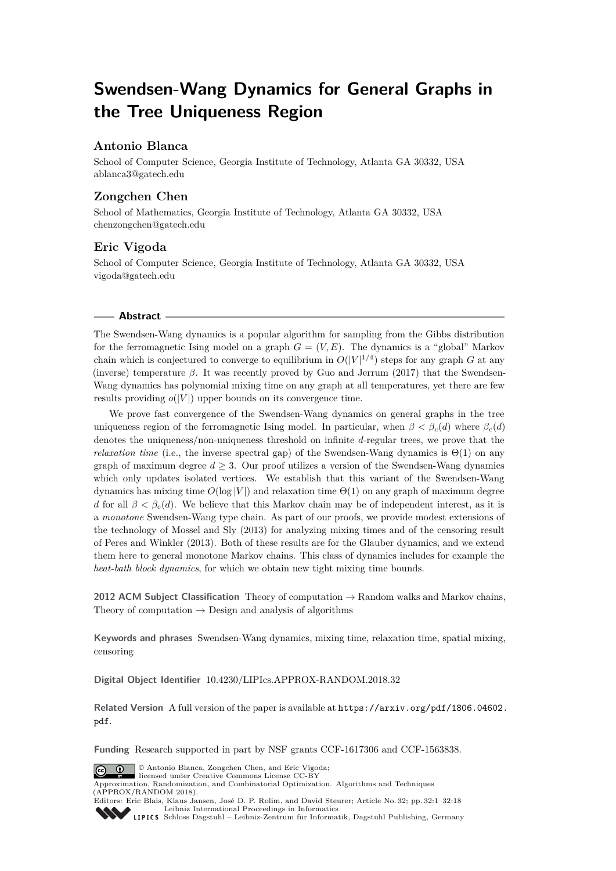# **Swendsen-Wang Dynamics for General Graphs in the Tree Uniqueness Region**

# **Antonio Blanca**

School of Computer Science, Georgia Institute of Technology, Atlanta GA 30332, USA [ablanca3@gatech.edu](mailto:ablanca3@gatech.edu)

# **Zongchen Chen**

School of Mathematics, Georgia Institute of Technology, Atlanta GA 30332, USA [chenzongchen@gatech.edu](mailto:chenzongchen@gatech.edu)

# **Eric Vigoda**

School of Computer Science, Georgia Institute of Technology, Atlanta GA 30332, USA [vigoda@gatech.edu](mailto:vigoda@gatech.edu)

## **Abstract**

The Swendsen-Wang dynamics is a popular algorithm for sampling from the Gibbs distribution for the ferromagnetic Ising model on a graph  $G = (V, E)$ . The dynamics is a "global" Markov chain which is conjectured to converge to equilibrium in  $O(|V|^{1/4})$  steps for any graph *G* at any (inverse) temperature  $\beta$ . It was recently proved by Guo and Jerrum (2017) that the Swendsen-Wang dynamics has polynomial mixing time on any graph at all temperatures, yet there are few results providing  $o(|V|)$  upper bounds on its convergence time.

We prove fast convergence of the Swendsen-Wang dynamics on general graphs in the tree uniqueness region of the ferromagnetic Ising model. In particular, when  $\beta < \beta_c(d)$  where  $\beta_c(d)$ denotes the uniqueness/non-uniqueness threshold on infinite *d*-regular trees, we prove that the *relaxation time* (i.e., the inverse spectral gap) of the Swendsen-Wang dynamics is  $\Theta(1)$  on any graph of maximum degree  $d \geq 3$ . Our proof utilizes a version of the Swendsen-Wang dynamics which only updates isolated vertices. We establish that this variant of the Swendsen-Wang dynamics has mixing time  $O(\log |V|)$  and relaxation time  $\Theta(1)$  on any graph of maximum degree *d* for all  $\beta < \beta_c(d)$ . We believe that this Markov chain may be of independent interest, as it is a *monotone* Swendsen-Wang type chain. As part of our proofs, we provide modest extensions of the technology of Mossel and Sly (2013) for analyzing mixing times and of the censoring result of Peres and Winkler (2013). Both of these results are for the Glauber dynamics, and we extend them here to general monotone Markov chains. This class of dynamics includes for example the *heat-bath block dynamics*, for which we obtain new tight mixing time bounds.

**2012 ACM Subject Classification** Theory of computation → Random walks and Markov chains, Theory of computation  $\rightarrow$  Design and analysis of algorithms

**Keywords and phrases** Swendsen-Wang dynamics, mixing time, relaxation time, spatial mixing, censoring

**Digital Object Identifier** [10.4230/LIPIcs.APPROX-RANDOM.2018.32](http://dx.doi.org/10.4230/LIPIcs.APPROX-RANDOM.2018.32)

**Related Version** A full version of the paper is available at [https://arxiv.org/pdf/1806.04602.](https://arxiv.org/pdf/1806.04602.pdf) [pdf](https://arxiv.org/pdf/1806.04602.pdf).

**Funding** Research supported in part by NSF grants CCF-1617306 and CCF-1563838.



© Antonio Blanca, Zongchen Chen, and Eric Vigoda; licensed under Creative Commons License CC-BY

Approximation, Randomization, and Combinatorial Optimization. Algorithms and Techniques (APPROX/RANDOM 2018). Editors: Eric Blais, Klaus Jansen, José D. P. Rolim, and David Steurer; Article No. 32; pp. 32:1–32[:18](#page-17-0)



[Leibniz International Proceedings in Informatics](http://www.dagstuhl.de/lipics/) [Schloss Dagstuhl – Leibniz-Zentrum für Informatik, Dagstuhl Publishing, Germany](http://www.dagstuhl.de)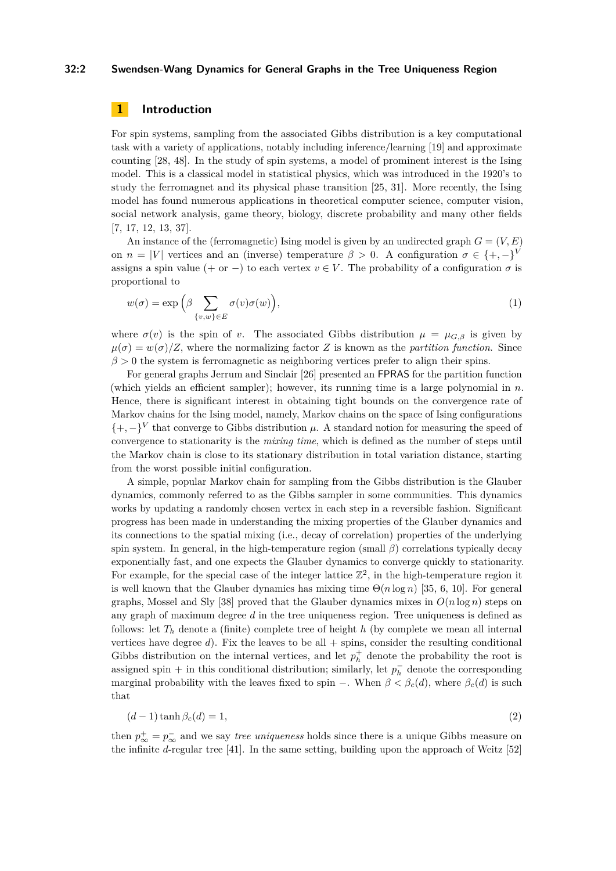# **32:2 Swendsen-Wang Dynamics for General Graphs in the Tree Uniqueness Region**

# **1 Introduction**

For spin systems, sampling from the associated Gibbs distribution is a key computational task with a variety of applications, notably including inference/learning [\[19\]](#page-12-0) and approximate counting [\[28,](#page-13-0) [48\]](#page-14-0). In the study of spin systems, a model of prominent interest is the Ising model. This is a classical model in statistical physics, which was introduced in the 1920's to study the ferromagnet and its physical phase transition [\[25,](#page-13-1) [31\]](#page-13-2). More recently, the Ising model has found numerous applications in theoretical computer science, computer vision, social network analysis, game theory, biology, discrete probability and many other fields [\[7,](#page-12-1) [17,](#page-12-2) [12,](#page-12-3) [13,](#page-12-4) [37\]](#page-13-3).

An instance of the (ferromagnetic) Ising model is given by an undirected graph  $G = (V, E)$ on  $n = |V|$  vertices and an (inverse) temperature  $\beta > 0$ . A configuration  $\sigma \in \{+, -\}^V$ assigns a spin value (+ or -) to each vertex  $v \in V$ . The probability of a configuration  $\sigma$  is proportional to

$$
w(\sigma) = \exp\left(\beta \sum_{\{v,w\} \in E} \sigma(v)\sigma(w)\right),\tag{1}
$$

where  $\sigma(v)$  is the spin of *v*. The associated Gibbs distribution  $\mu = \mu_{G,\beta}$  is given by  $\mu(\sigma) = w(\sigma)/Z$ , where the normalizing factor Z is known as the *partition function*. Since  $\beta$  > 0 the system is ferromagnetic as neighboring vertices prefer to align their spins.

For general graphs Jerrum and Sinclair [\[26\]](#page-13-4) presented an FPRAS for the partition function (which yields an efficient sampler); however, its running time is a large polynomial in *n*. Hence, there is significant interest in obtaining tight bounds on the convergence rate of Markov chains for the Ising model, namely, Markov chains on the space of Ising configurations  $\{+,-\}^V$  that converge to Gibbs distribution  $\mu$ . A standard notion for measuring the speed of convergence to stationarity is the *mixing time*, which is defined as the number of steps until the Markov chain is close to its stationary distribution in total variation distance, starting from the worst possible initial configuration.

A simple, popular Markov chain for sampling from the Gibbs distribution is the Glauber dynamics, commonly referred to as the Gibbs sampler in some communities. This dynamics works by updating a randomly chosen vertex in each step in a reversible fashion. Significant progress has been made in understanding the mixing properties of the Glauber dynamics and its connections to the spatial mixing (i.e., decay of correlation) properties of the underlying spin system. In general, in the high-temperature region (small *β*) correlations typically decay exponentially fast, and one expects the Glauber dynamics to converge quickly to stationarity. For example, for the special case of the integer lattice  $\mathbb{Z}^2$ , in the high-temperature region it is well known that the Glauber dynamics has mixing time  $\Theta(n \log n)$  [\[35,](#page-13-5) [6,](#page-12-5) [10\]](#page-12-6). For general graphs, Mossel and Sly [\[38\]](#page-13-6) proved that the Glauber dynamics mixes in  $O(n \log n)$  steps on any graph of maximum degree *d* in the tree uniqueness region. Tree uniqueness is defined as follows: let  $T_h$  denote a (finite) complete tree of height h (by complete we mean all internal vertices have degree  $d$ ). Fix the leaves to be all  $+$  spins, consider the resulting conditional Gibbs distribution on the internal vertices, and let  $p_h^+$  denote the probability the root is assigned spin + in this conditional distribution; similarly, let  $p_h^-$  denote the corresponding marginal probability with the leaves fixed to spin –. When  $\beta < \beta_c(d)$ , where  $\beta_c(d)$  is such that

<span id="page-1-0"></span>
$$
(d-1)\tanh\beta_c(d) = 1,\t\t(2)
$$

then  $p^{\perp}_{\infty} = p^-_{\infty}$  and we say *tree uniqueness* holds since there is a unique Gibbs measure on the infinite *d*-regular tree [\[41\]](#page-13-7). In the same setting, building upon the approach of Weitz [\[52\]](#page-14-1)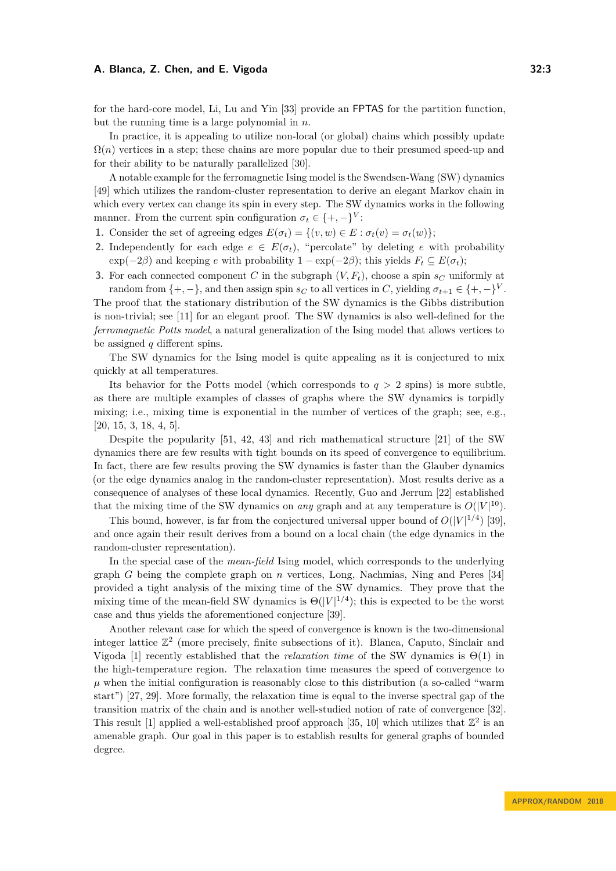be assigned *q* different spins.

for the hard-core model, Li, Lu and Yin [\[33\]](#page-13-8) provide an FPTAS for the partition function, but the running time is a large polynomial in *n*.

In practice, it is appealing to utilize non-local (or global) chains which possibly update  $\Omega(n)$  vertices in a step; these chains are more popular due to their presumed speed-up and for their ability to be naturally parallelized [\[30\]](#page-13-9).

A notable example for the ferromagnetic Ising model is the Swendsen-Wang (SW) dynamics [\[49\]](#page-14-2) which utilizes the random-cluster representation to derive an elegant Markov chain in which every vertex can change its spin in every step. The SW dynamics works in the following manner. From the current spin configuration  $\sigma_t \in \{+, -\}^V$ :

- **1.** Consider the set of agreeing edges  $E(\sigma_t) = \{(v, w) \in E : \sigma_t(v) = \sigma_t(w)\};$
- **2.** Independently for each edge  $e \in E(\sigma_t)$ , "percolate" by deleting *e* with probability  $\exp(-2\beta)$  and keeping *e* with probability  $1 - \exp(-2\beta)$ ; this yields  $F_t \subseteq E(\sigma_t)$ ;
- **3.** For each connected component *C* in the subgraph  $(V, F_t)$ , choose a spin  $s_C$  uniformly at random from  $\{+, -\}$ , and then assign spin  $s_C$  to all vertices in *C*, yielding  $\sigma_{t+1} \in \{+, -\}^V$ . The proof that the stationary distribution of the SW dynamics is the Gibbs distribution is non-trivial; see [\[11\]](#page-12-7) for an elegant proof. The SW dynamics is also well-defined for the *ferromagnetic Potts model*, a natural generalization of the Ising model that allows vertices to

The SW dynamics for the Ising model is quite appealing as it is conjectured to mix quickly at all temperatures.

Its behavior for the Potts model (which corresponds to  $q > 2$  spins) is more subtle, as there are multiple examples of classes of graphs where the SW dynamics is torpidly mixing; i.e., mixing time is exponential in the number of vertices of the graph; see, e.g., [\[20,](#page-13-10) [15,](#page-12-8) [3,](#page-12-9) [18,](#page-12-10) [4,](#page-12-11) [5\]](#page-12-12).

Despite the popularity [\[51,](#page-14-3) [42,](#page-14-4) [43\]](#page-14-5) and rich mathematical structure [\[21\]](#page-13-11) of the SW dynamics there are few results with tight bounds on its speed of convergence to equilibrium. In fact, there are few results proving the SW dynamics is faster than the Glauber dynamics (or the edge dynamics analog in the random-cluster representation). Most results derive as a consequence of analyses of these local dynamics. Recently, Guo and Jerrum [\[22\]](#page-13-12) established that the mixing time of the SW dynamics on *any* graph and at any temperature is  $O(|V|^{10})$ .

This bound, however, is far from the conjectured universal upper bound of  $O(|V|^{1/4})$  [\[39\]](#page-13-13), and once again their result derives from a bound on a local chain (the edge dynamics in the random-cluster representation).

In the special case of the *mean-field* Ising model, which corresponds to the underlying graph *G* being the complete graph on *n* vertices, Long, Nachmias, Ning and Peres [\[34\]](#page-13-14) provided a tight analysis of the mixing time of the SW dynamics. They prove that the mixing time of the mean-field SW dynamics is  $\Theta(|V|^{1/4})$ ; this is expected to be the worst case and thus yields the aforementioned conjecture [\[39\]](#page-13-13).

Another relevant case for which the speed of convergence is known is the two-dimensional integer lattice  $\mathbb{Z}^2$  (more precisely, finite subsections of it). Blanca, Caputo, Sinclair and Vigoda [\[1\]](#page-12-13) recently established that the *relaxation time* of the SW dynamics is Θ(1) in the high-temperature region. The relaxation time measures the speed of convergence to  $\mu$  when the initial configuration is reasonably close to this distribution (a so-called "warm" start") [\[27,](#page-13-15) [29\]](#page-13-16). More formally, the relaxation time is equal to the inverse spectral gap of the transition matrix of the chain and is another well-studied notion of rate of convergence [\[32\]](#page-13-17). This result [\[1\]](#page-12-13) applied a well-established proof approach [\[35,](#page-13-5) [10\]](#page-12-6) which utilizes that  $\mathbb{Z}^2$  is an amenable graph. Our goal in this paper is to establish results for general graphs of bounded degree.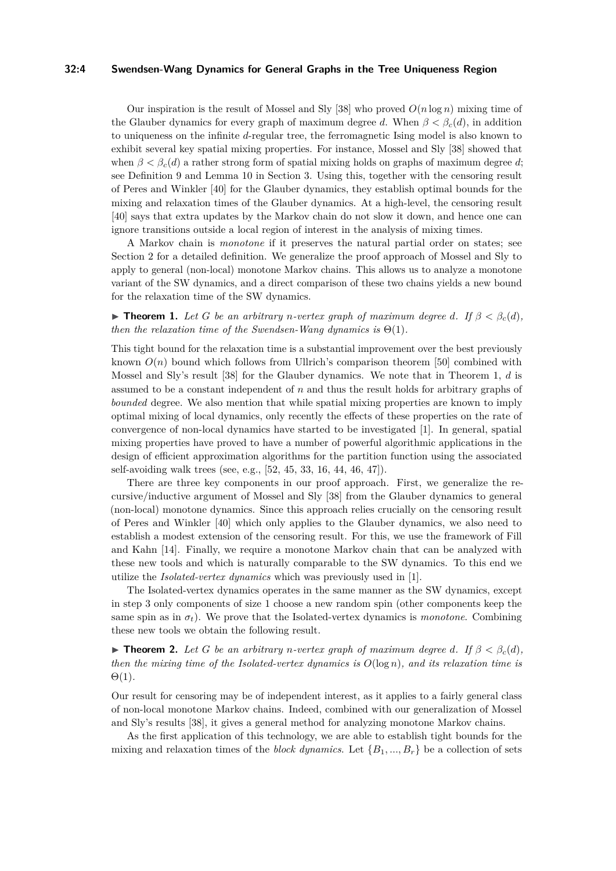## **32:4 Swendsen-Wang Dynamics for General Graphs in the Tree Uniqueness Region**

Our inspiration is the result of Mossel and Sly [\[38\]](#page-13-6) who proved  $O(n \log n)$  mixing time of the Glauber dynamics for every graph of maximum degree *d*. When  $\beta < \beta_c(d)$ , in addition to uniqueness on the infinite *d*-regular tree, the ferromagnetic Ising model is also known to exhibit several key spatial mixing properties. For instance, Mossel and Sly [\[38\]](#page-13-6) showed that when  $\beta < \beta_c(d)$  a rather strong form of spatial mixing holds on graphs of maximum degree *d*; see Definition [9](#page-8-0) and Lemma [10](#page-8-1) in Section [3.](#page-5-0) Using this, together with the censoring result of Peres and Winkler [\[40\]](#page-13-18) for the Glauber dynamics, they establish optimal bounds for the mixing and relaxation times of the Glauber dynamics. At a high-level, the censoring result [\[40\]](#page-13-18) says that extra updates by the Markov chain do not slow it down, and hence one can ignore transitions outside a local region of interest in the analysis of mixing times.

A Markov chain is *monotone* if it preserves the natural partial order on states; see Section [2](#page-4-0) for a detailed definition. We generalize the proof approach of Mossel and Sly to apply to general (non-local) monotone Markov chains. This allows us to analyze a monotone variant of the SW dynamics, and a direct comparison of these two chains yields a new bound for the relaxation time of the SW dynamics.

<span id="page-3-0"></span>**► Theorem 1.** Let *G* be an arbitrary *n*-vertex graph of maximum degree *d*. If  $\beta < \beta_c(d)$ , *then the relaxation time of the Swendsen-Wang dynamics is*  $\Theta(1)$ *.* 

This tight bound for the relaxation time is a substantial improvement over the best previously known  $O(n)$  bound which follows from Ullrich's comparison theorem [\[50\]](#page-14-6) combined with Mossel and Sly's result [\[38\]](#page-13-6) for the Glauber dynamics. We note that in Theorem [1,](#page-3-0) *d* is assumed to be a constant independent of *n* and thus the result holds for arbitrary graphs of *bounded* degree. We also mention that while spatial mixing properties are known to imply optimal mixing of local dynamics, only recently the effects of these properties on the rate of convergence of non-local dynamics have started to be investigated [\[1\]](#page-12-13). In general, spatial mixing properties have proved to have a number of powerful algorithmic applications in the design of efficient approximation algorithms for the partition function using the associated self-avoiding walk trees (see, e.g., [\[52,](#page-14-1) [45,](#page-14-7) [33,](#page-13-8) [16,](#page-12-14) [44,](#page-14-8) [46,](#page-14-9) [47\]](#page-14-10)).

There are three key components in our proof approach. First, we generalize the recursive/inductive argument of Mossel and Sly [\[38\]](#page-13-6) from the Glauber dynamics to general (non-local) monotone dynamics. Since this approach relies crucially on the censoring result of Peres and Winkler [\[40\]](#page-13-18) which only applies to the Glauber dynamics, we also need to establish a modest extension of the censoring result. For this, we use the framework of Fill and Kahn [\[14\]](#page-12-15). Finally, we require a monotone Markov chain that can be analyzed with these new tools and which is naturally comparable to the SW dynamics. To this end we utilize the *Isolated-vertex dynamics* which was previously used in [\[1\]](#page-12-13).

The Isolated-vertex dynamics operates in the same manner as the SW dynamics, except in step 3 only components of size 1 choose a new random spin (other components keep the same spin as in  $\sigma_t$ ). We prove that the Isolated-vertex dynamics is *monotone*. Combining these new tools we obtain the following result.

<span id="page-3-1"></span>**► Theorem 2.** Let *G* be an arbitrary *n*-vertex graph of maximum degree *d*. If  $\beta < \beta_c(d)$ , *then the mixing time of the Isolated-vertex dynamics is O*(log *n*)*, and its relaxation time is* Θ(1)*.*

Our result for censoring may be of independent interest, as it applies to a fairly general class of non-local monotone Markov chains. Indeed, combined with our generalization of Mossel and Sly's results [\[38\]](#page-13-6), it gives a general method for analyzing monotone Markov chains.

As the first application of this technology, we are able to establish tight bounds for the mixing and relaxation times of the *block dynamics*. Let  ${B_1, ..., B_r}$  be a collection of sets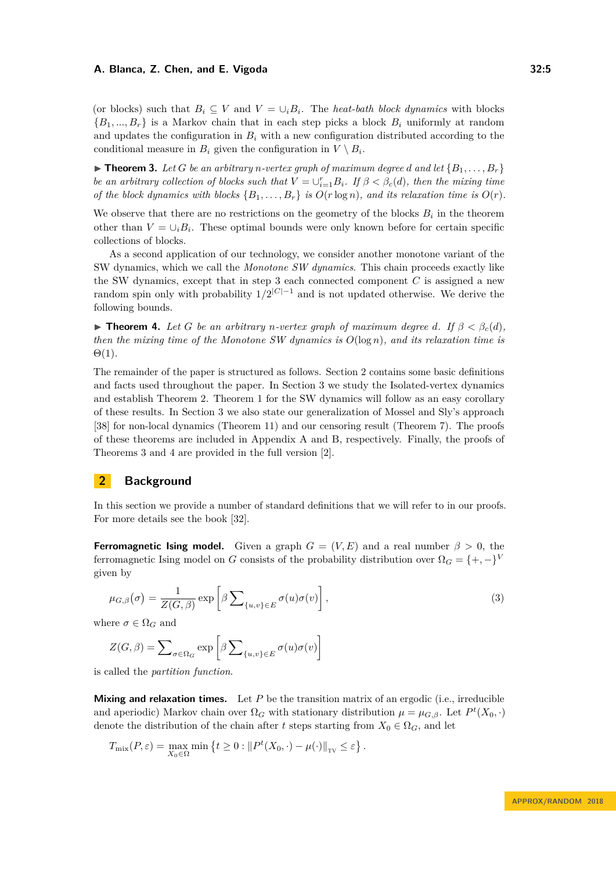(or blocks) such that  $B_i \subseteq V$  and  $V = \bigcup_i B_i$ . The *heat-bath block dynamics* with blocks  ${B_1, ..., B_r}$  is a Markov chain that in each step picks a block  $B_i$  uniformly at random and updates the configuration in  $B_i$  with a new configuration distributed according to the conditional measure in  $B_i$  given the configuration in  $V \setminus B_i$ .

<span id="page-4-1"></span> $\triangleright$  **Theorem 3.** Let G be an arbitrary *n*-vertex graph of maximum degree *d* and let  $\{B_1, \ldots, B_r\}$ *be an arbitrary collection of blocks such that*  $V = \bigcup_{i=1}^{r} B_i$ *. If*  $\beta < \beta_c(d)$ *, then the mixing time of the block dynamics with blocks*  $\{B_1, \ldots, B_r\}$  *is*  $O(r \log n)$ *, and its relaxation time is*  $O(r)$ *.* 

We observe that there are no restrictions on the geometry of the blocks  $B_i$  in the theorem other than  $V = \bigcup_i B_i$ . These optimal bounds were only known before for certain specific collections of blocks.

As a second application of our technology, we consider another monotone variant of the SW dynamics, which we call the *Monotone SW dynamics*. This chain proceeds exactly like the SW dynamics, except that in step 3 each connected component *C* is assigned a new random spin only with probability 1*/*2 <sup>|</sup>*C*|−<sup>1</sup> and is not updated otherwise. We derive the following bounds.

<span id="page-4-2"></span>**► Theorem 4.** Let *G* be an arbitrary *n*-vertex graph of maximum degree *d*. If  $\beta < \beta_c(d)$ , *then the mixing time of the Monotone SW dynamics is O*(log *n*)*, and its relaxation time is* Θ(1)*.*

The remainder of the paper is structured as follows. Section [2](#page-4-0) contains some basic definitions and facts used throughout the paper. In Section [3](#page-5-0) we study the Isolated-vertex dynamics and establish Theorem [2.](#page-3-1) Theorem [1](#page-3-0) for the SW dynamics will follow as an easy corollary of these results. In Section [3](#page-5-0) we also state our generalization of Mossel and Sly's approach [\[38\]](#page-13-6) for non-local dynamics (Theorem [11\)](#page-8-2) and our censoring result (Theorem [7\)](#page-7-0). The proofs of these theorems are included in Appendix [A](#page-14-11) and [B,](#page-17-1) respectively. Finally, the proofs of Theorems [3](#page-4-1) and [4](#page-4-2) are provided in the full version [\[2\]](#page-12-16).

# <span id="page-4-0"></span>**2 Background**

In this section we provide a number of standard definitions that we will refer to in our proofs. For more details see the book [\[32\]](#page-13-17).

**Ferromagnetic Ising model.** Given a graph  $G = (V, E)$  and a real number  $\beta > 0$ , the ferromagnetic Ising model on *G* consists of the probability distribution over  $\Omega_G = \{+, -\}^V$ given by

$$
\mu_{G,\beta}(\sigma) = \frac{1}{Z(G,\beta)} \exp\left[\beta \sum_{\{u,v\} \in E} \sigma(u)\sigma(v)\right],\tag{3}
$$

where  $\sigma \in \Omega_G$  and

$$
Z(G, \beta) = \sum_{\sigma \in \Omega_G} \exp \left[ \beta \sum_{\{u, v\} \in E} \sigma(u) \sigma(v) \right]
$$

is called the *partition function*.

**Mixing and relaxation times.** Let *P* be the transition matrix of an ergodic (i.e., irreducible and aperiodic) Markov chain over  $\Omega_G$  with stationary distribution  $\mu = \mu_{G,\beta}$ . Let  $P^t(X_0, \cdot)$ denote the distribution of the chain after *t* steps starting from  $X_0 \in \Omega_G$ , and let

$$
T_{\text{mix}}(P,\varepsilon) = \max_{X_0 \in \Omega} \min \left\{ t \ge 0 : \| P^t(X_0, \cdot) - \mu(\cdot) \|_{\text{TV}} \le \varepsilon \right\}.
$$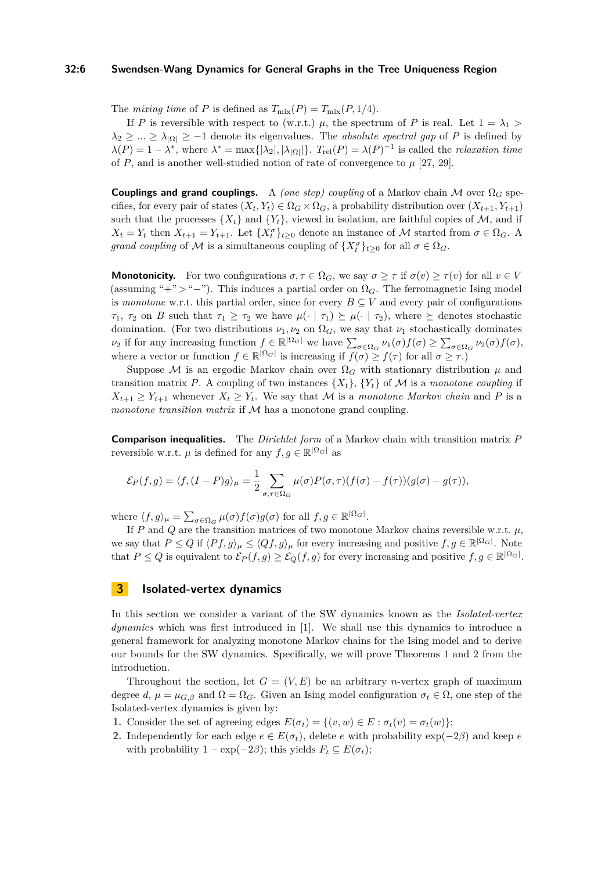# **32:6 Swendsen-Wang Dynamics for General Graphs in the Tree Uniqueness Region**

The *mixing time* of *P* is defined as  $T_{\text{mix}}(P) = T_{\text{mix}}(P, 1/4)$ .

If *P* is reversible with respect to (w.r.t.)  $\mu$ , the spectrum of *P* is real. Let  $1 = \lambda_1$  $\lambda_2 \geq \ldots \geq \lambda_{|\Omega|} \geq -1$  denote its eigenvalues. The *absolute spectral gap* of *P* is defined by  $\lambda(P) = 1 - \lambda^*$ , where  $\lambda^* = \max\{|\lambda_2|, |\lambda_{|\Omega|}|\}$ .  $T_{rel}(P) = \lambda(P)^{-1}$  is called the *relaxation time* of  $P$ , and is another well-studied notion of rate of convergence to  $\mu$  [\[27,](#page-13-15) [29\]](#page-13-16).

**Couplings and grand couplings.** A *(one step) coupling* of a Markov chain M over Ω*<sup>G</sup>* specifies, for every pair of states  $(X_t, Y_t) \in \Omega_G \times \Omega_G$ , a probability distribution over  $(X_{t+1}, Y_{t+1})$ such that the processes  $\{X_t\}$  and  $\{Y_t\}$ , viewed in isolation, are faithful copies of M, and if  $X_t = Y_t$  then  $X_{t+1} = Y_{t+1}$ . Let  $\{X_t^{\sigma}\}_{t\geq 0}$  denote an instance of M started from  $\sigma \in \Omega_G$ . A *grand coupling* of M is a simultaneous coupling of  $\{X_t^{\sigma}\}_{t\geq0}$  for all  $\sigma \in \Omega_G$ .

**Monotonicity.** For two configurations  $\sigma, \tau \in \Omega_G$ , we say  $\sigma \geq \tau$  if  $\sigma(v) \geq \tau(v)$  for all  $v \in V$ (assuming "+" > "-"). This induces a partial order on  $\Omega_G$ . The ferromagnetic Ising model is *monotone* w.r.t. this partial order, since for every  $B \subseteq V$  and every pair of configurations *τ*<sub>1</sub>, *τ*<sub>2</sub> on *B* such that  $\tau_1 \geq \tau_2$  we have  $\mu(\cdot | \tau_1) \geq \mu(\cdot | \tau_2)$ , where  $\succeq$  denotes stochastic domination. (For two distributions  $\nu_1, \nu_2$  on  $\Omega_G$ , we say that  $\nu_1$  stochastically dominates  $\nu_2$  if for any increasing function  $f \in \mathbb{R}^{|\Omega_G|}$  we have  $\sum_{\sigma \in \Omega_G} \nu_1(\sigma) f(\sigma) \ge \sum_{\sigma \in \Omega_G} \nu_2(\sigma) f(\sigma)$ , where a vector or function  $f \in \mathbb{R}^{|\Omega_G|}$  is increasing if  $f(\sigma) \geq f(\tau)$  for all  $\sigma \geq \tau$ .)

Suppose M is an ergodic Markov chain over  $\Omega_G$  with stationary distribution  $\mu$  and transition matrix P. A coupling of two instances  $\{X_t\}$ ,  $\{Y_t\}$  of M is a *monotone coupling* if  $X_{t+1} \geq Y_{t+1}$  whenever  $X_t \geq Y_t$ . We say that M is a *monotone Markov chain* and P is a *monotone transition matrix* if M has a monotone grand coupling.

**Comparison inequalities.** The *Dirichlet form* of a Markov chain with transition matrix *P* reversible w.r.t.  $\mu$  is defined for any  $f, g \in \mathbb{R}^{|\Omega_G|}$  as

$$
\mathcal{E}_P(f,g) = \langle f, (I-P)g \rangle_{\mu} = \frac{1}{2} \sum_{\sigma, \tau \in \Omega_G} \mu(\sigma) P(\sigma, \tau) (f(\sigma) - f(\tau)) (g(\sigma) - g(\tau)),
$$

where  $\langle f, g \rangle_{\mu} = \sum_{\sigma \in \Omega_G} \mu(\sigma) f(\sigma) g(\sigma)$  for all  $f, g \in \mathbb{R}^{|\Omega_G|}$ .

If *P* and *Q* are the transition matrices of two monotone Markov chains reversible w.r.t.  $\mu$ , we say that  $P \le Q$  if  $\langle Pf, g \rangle_{\mu} \le \langle Qf, g \rangle_{\mu}$  for every increasing and positive  $f, g \in \mathbb{R}^{|\Omega_G|}$ . Note that  $P \le Q$  is equivalent to  $\mathcal{E}_P(f,g) \ge \mathcal{E}_Q(f,g)$  for every increasing and positive  $f, g \in \mathbb{R}^{|\Omega_G|}$ .

# <span id="page-5-0"></span>**3 Isolated-vertex dynamics**

In this section we consider a variant of the SW dynamics known as the *Isolated-vertex dynamics* which was first introduced in [\[1\]](#page-12-13). We shall use this dynamics to introduce a general framework for analyzing monotone Markov chains for the Ising model and to derive our bounds for the SW dynamics. Specifically, we will prove Theorems [1](#page-3-0) and [2](#page-3-1) from the introduction.

Throughout the section, let  $G = (V, E)$  be an arbitrary *n*-vertex graph of maximum degree *d*,  $\mu = \mu_{G,\beta}$  and  $\Omega = \Omega_G$ . Given an Ising model configuration  $\sigma_t \in \Omega$ , one step of the Isolated-vertex dynamics is given by:

**1.** Consider the set of agreeing edges  $E(\sigma_t) = \{(v, w) \in E : \sigma_t(v) = \sigma_t(w)\};$ 

**2.** Independently for each edge  $e \in E(\sigma_t)$ , delete *e* with probability  $\exp(-2\beta)$  and keep *e* with probability  $1 - \exp(-2\beta)$ ; this yields  $F_t \subseteq E(\sigma_t)$ ;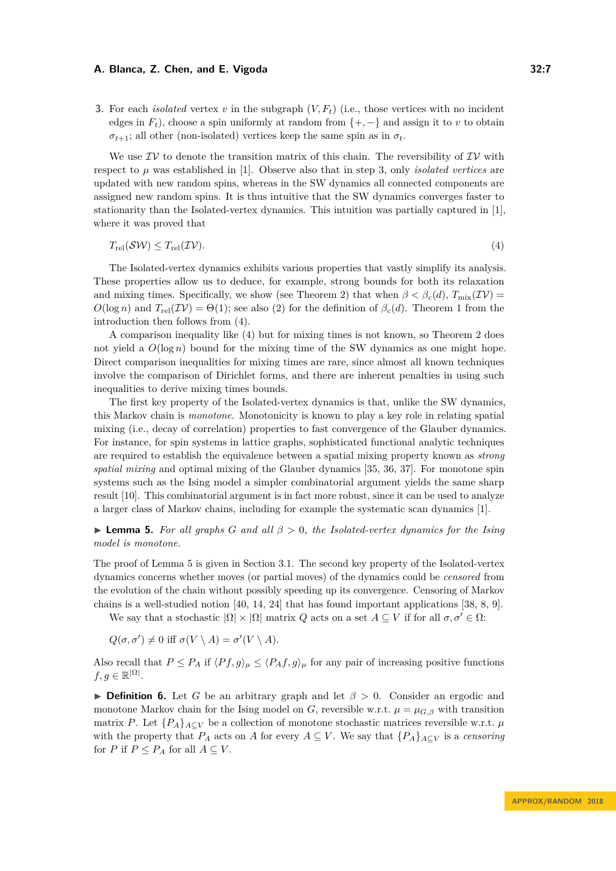**3.** For each *isolated* vertex  $v$  in the subgraph  $(V, F_t)$  (i.e., those vertices with no incident edges in  $F_t$ ), choose a spin uniformly at random from  $\{+,-\}$  and assign it to *v* to obtain  $\sigma_{t+1}$ ; all other (non-isolated) vertices keep the same spin as in  $\sigma_t$ .

We use  $\mathcal{IV}$  to denote the transition matrix of this chain. The reversibility of  $\mathcal{IV}$  with respect to  $\mu$  was established in [\[1\]](#page-12-13). Observe also that in step 3, only *isolated vertices* are updated with new random spins, whereas in the SW dynamics all connected components are assigned new random spins. It is thus intuitive that the SW dynamics converges faster to stationarity than the Isolated-vertex dynamics. This intuition was partially captured in [\[1\]](#page-12-13), where it was proved that

<span id="page-6-0"></span>
$$
T_{\rm rel}(\mathcal{SW}) \le T_{\rm rel}(\mathcal{IV}).\tag{4}
$$

The Isolated-vertex dynamics exhibits various properties that vastly simplify its analysis. These properties allow us to deduce, for example, strong bounds for both its relaxation and mixing times. Specifically, we show (see Theorem [2\)](#page-3-1) that when  $\beta < \beta_c(d)$ ,  $T_{\text{mix}}(\mathcal{IV})$  =  $O(\log n)$  and  $T_{rel}(\mathcal{IV}) = \Theta(1)$ ; see also [\(2\)](#page-1-0) for the definition of  $\beta_c(d)$ . Theorem [1](#page-3-0) from the introduction then follows from [\(4\)](#page-6-0).

A comparison inequality like [\(4\)](#page-6-0) but for mixing times is not known, so Theorem [2](#page-3-1) does not yield a  $O(\log n)$  bound for the mixing time of the SW dynamics as one might hope. Direct comparison inequalities for mixing times are rare, since almost all known techniques involve the comparison of Dirichlet forms, and there are inherent penalties in using such inequalities to derive mixing times bounds.

The first key property of the Isolated-vertex dynamics is that, unlike the SW dynamics, this Markov chain is *monotone*. Monotonicity is known to play a key role in relating spatial mixing (i.e., decay of correlation) properties to fast convergence of the Glauber dynamics. For instance, for spin systems in lattice graphs, sophisticated functional analytic techniques are required to establish the equivalence between a spatial mixing property known as *strong spatial mixing* and optimal mixing of the Glauber dynamics [\[35,](#page-13-5) [36,](#page-13-19) [37\]](#page-13-3). For monotone spin systems such as the Ising model a simpler combinatorial argument yields the same sharp result [\[10\]](#page-12-6). This combinatorial argument is in fact more robust, since it can be used to analyze a larger class of Markov chains, including for example the systematic scan dynamics [\[1\]](#page-12-13).

<span id="page-6-1"></span>I **Lemma 5.** *For all graphs G and all β >* 0*, the Isolated-vertex dynamics for the Ising model is monotone.*

The proof of Lemma [5](#page-6-1) is given in Section [3.1.](#page-9-0) The second key property of the Isolated-vertex dynamics concerns whether moves (or partial moves) of the dynamics could be *censored* from the evolution of the chain without possibly speeding up its convergence. Censoring of Markov chains is a well-studied notion [\[40,](#page-13-18) [14,](#page-12-15) [24\]](#page-13-20) that has found important applications [\[38,](#page-13-6) [8,](#page-12-17) [9\]](#page-12-18).

We say that a stochastic  $|\Omega| \times |\Omega|$  matrix *Q* acts on a set  $A \subseteq V$  if for all  $\sigma, \sigma' \in \Omega$ :

$$
Q(\sigma, \sigma') \neq 0 \text{ iff } \sigma(V \setminus A) = \sigma'(V \setminus A).
$$

Also recall that  $P \leq P_A$  if  $\langle P_f, g \rangle_\mu \leq \langle P_A f, g \rangle_\mu$  for any pair of increasing positive functions  $f, g \in \mathbb{R}^{|\Omega|}$ .

<span id="page-6-2"></span>**Definition 6.** Let *G* be an arbitrary graph and let  $\beta > 0$ . Consider an ergodic and monotone Markov chain for the Ising model on *G*, reversible w.r.t.  $\mu = \mu_{G,\beta}$  with transition matrix *P*. Let  ${P_A}_{A\subset V}$  be a collection of monotone stochastic matrices reversible w.r.t.  $\mu$ with the property that  $P_A$  acts on *A* for every  $A \subseteq V$ . We say that  $\{P_A\}_{A \subseteq V}$  is a *censoring* for *P* if  $P \leq P_A$  for all  $A \subseteq V$ .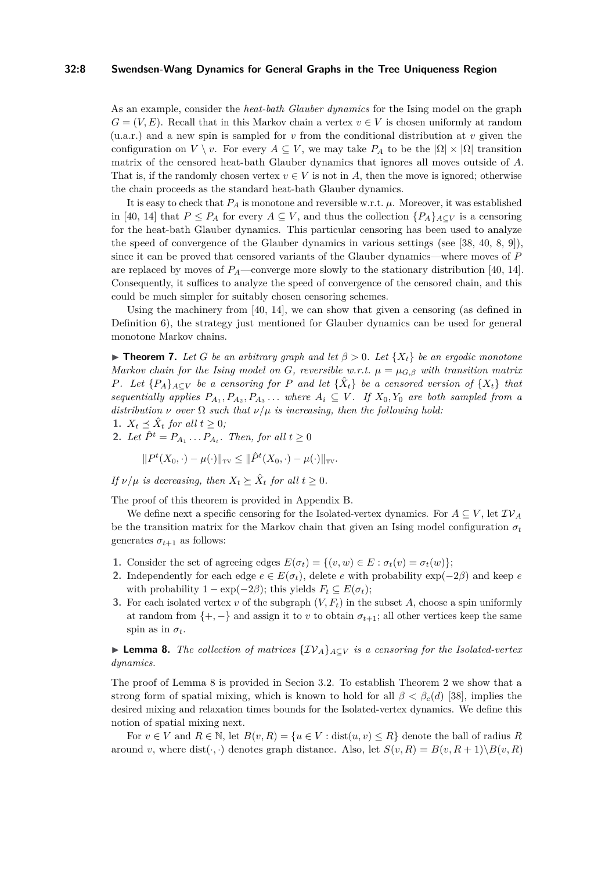## **32:8 Swendsen-Wang Dynamics for General Graphs in the Tree Uniqueness Region**

As an example, consider the *heat-bath Glauber dynamics* for the Ising model on the graph  $G = (V, E)$ . Recall that in this Markov chain a vertex  $v \in V$  is chosen uniformly at random (u.a.r.) and a new spin is sampled for *v* from the conditional distribution at *v* given the configuration on *V* \ *v*. For every  $A \subseteq V$ , we may take  $P_A$  to be the  $|\Omega| \times |\Omega|$  transition matrix of the censored heat-bath Glauber dynamics that ignores all moves outside of *A*. That is, if the randomly chosen vertex  $v \in V$  is not in A, then the move is ignored; otherwise the chain proceeds as the standard heat-bath Glauber dynamics.

It is easy to check that  $P_A$  is monotone and reversible w.r.t.  $\mu$ . Moreover, it was established in [\[40,](#page-13-18) [14\]](#page-12-15) that  $P \leq P_A$  for every  $A \subseteq V$ , and thus the collection  $\{P_A\}_{A\subseteq V}$  is a censoring for the heat-bath Glauber dynamics. This particular censoring has been used to analyze the speed of convergence of the Glauber dynamics in various settings (see [\[38,](#page-13-6) [40,](#page-13-18) [8,](#page-12-17) [9\]](#page-12-18)), since it can be proved that censored variants of the Glauber dynamics—where moves of *P* are replaced by moves of  $P_A$ —converge more slowly to the stationary distribution [\[40,](#page-13-18) [14\]](#page-12-15). Consequently, it suffices to analyze the speed of convergence of the censored chain, and this could be much simpler for suitably chosen censoring schemes.

Using the machinery from [\[40,](#page-13-18) [14\]](#page-12-15), we can show that given a censoring (as defined in Definition [6\)](#page-6-2), the strategy just mentioned for Glauber dynamics can be used for general monotone Markov chains.

<span id="page-7-0"></span>**Find 7.** Let G be an arbitrary graph and let  $\beta > 0$ . Let  $\{X_t\}$  be an ergodic monotone *Markov chain for the Ising model on G, reversible w.r.t.*  $\mu = \mu_{G,\beta}$  with transition matrix *P.* Let  ${P_A}_{A \subseteq V}$  be a censoring for *P* and let  ${\hat{X}_t}$  be a censored version of  ${X_t}$  that *sequentially applies*  $P_{A_1}, P_{A_2}, P_{A_3} \ldots$  *where*  $A_i \subseteq V$ *. If*  $X_0, Y_0$  *are both sampled from a distribution*  $\nu$  *over*  $\Omega$  *such that*  $\nu/\mu$  *is increasing, then the following hold:* 

1. 
$$
X_t \preceq \hat{X}_t
$$
 for all  $t \geq 0$ ;

**2.** *Let*  $\hat{P}^t = P_{A_1} \dots P_{A_t}$ *. Then, for all*  $t \geq 0$ 

$$
||P^{t}(X_0,\cdot)-\mu(\cdot)||_{\text{TV}} \leq ||\hat{P}^{t}(X_0,\cdot)-\mu(\cdot)||_{\text{TV}}.
$$

*If*  $\nu/\mu$  *is decreasing, then*  $X_t \succeq \hat{X}_t$  *for all*  $t \geq 0$ *.* 

The proof of this theorem is provided in Appendix [B.](#page-17-1)

We define next a specific censoring for the Isolated-vertex dynamics. For  $A \subseteq V$ , let  $\mathcal{IV}_A$ be the transition matrix for the Markov chain that given an Ising model configuration  $\sigma_t$ generates  $\sigma_{t+1}$  as follows:

- **1.** Consider the set of agreeing edges  $E(\sigma_t) = \{(v, w) \in E : \sigma_t(v) = \sigma_t(w)\};$
- **2.** Independently for each edge  $e \in E(\sigma_t)$ , delete *e* with probability  $\exp(-2\beta)$  and keep *e* with probability  $1 - \exp(-2\beta)$ ; this yields  $F_t \subseteq E(\sigma_t)$ ;
- **3.** For each isolated vertex *v* of the subgraph  $(V, F_t)$  in the subset *A*, choose a spin uniformly at random from  $\{+,-\}$  and assign it to *v* to obtain  $\sigma_{t+1}$ ; all other vertices keep the same spin as in  $\sigma_t$ .

# <span id="page-7-1"></span>I **Lemma 8.** *The collection of matrices* {IV*A*}*A*⊆*<sup>V</sup> is a censoring for the Isolated-vertex dynamics.*

The proof of Lemma [8](#page-7-1) is provided in Secion [3.2.](#page-9-1) To establish Theorem [2](#page-3-1) we show that a strong form of spatial mixing, which is known to hold for all  $\beta < \beta_c(d)$  [\[38\]](#page-13-6), implies the desired mixing and relaxation times bounds for the Isolated-vertex dynamics. We define this notion of spatial mixing next.

For  $v \in V$  and  $R \in \mathbb{N}$ , let  $B(v, R) = \{u \in V : \text{dist}(u, v) \leq R\}$  denote the ball of radius R around *v*, where dist( $\cdot$ ,  $\cdot$ ) denotes graph distance. Also, let  $S(v, R) = B(v, R + 1) \setminus B(v, R)$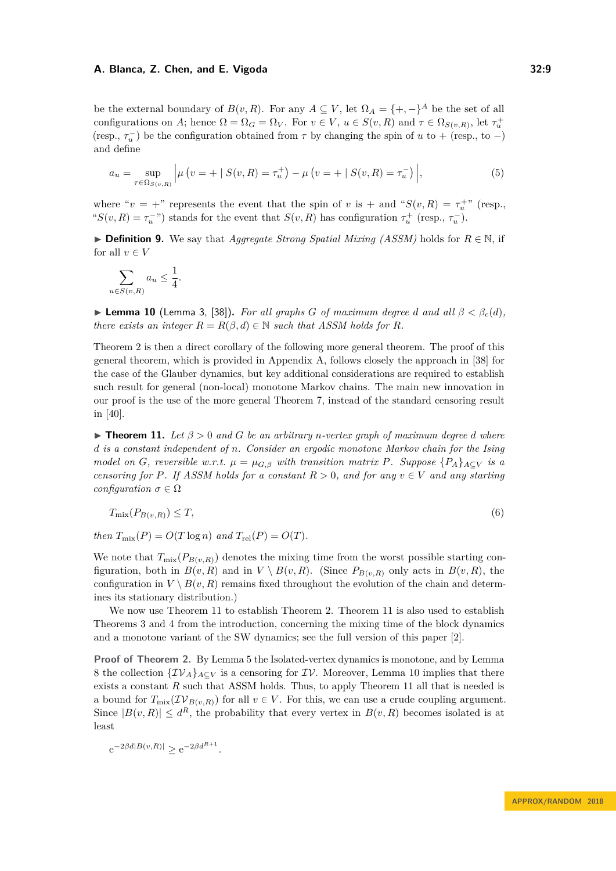be the external boundary of  $B(v, R)$ . For any  $A \subseteq V$ , let  $\Omega_A = \{+, -\}^A$  be the set of all configurations on *A*; hence  $\Omega = \Omega_G = \Omega_V$ . For  $v \in V$ ,  $u \in S(v, R)$  and  $\tau \in \Omega_{S(v, R)}$ , let  $\tau_u^+$ (resp.,  $\tau_u^-$ ) be the configuration obtained from  $\tau$  by changing the spin of *u* to + (resp., to -) and define

<span id="page-8-3"></span>
$$
a_u = \sup_{\tau \in \Omega_{S(v,R)}} \left| \mu\left(v = + \mid S(v,R) = \tau_u^+\right) - \mu\left(v = + \mid S(v,R) = \tau_u^-\right) \right|,
$$
\n(5)

where " $v = +$ " represents the event that the spin of *v* is + and " $S(v, R) = \tau_u^+$ " (resp., " $S(v, R) = \tau_u^{-}$ ") stands for the event that  $S(v, R)$  has configuration  $\tau_u^{+}$  (resp.,  $\tau_u^{-}$ ).

<span id="page-8-0"></span>I **Definition 9.** We say that *Aggregate Strong Spatial Mixing (ASSM)* holds for *R* ∈ N, if for all  $v \in V$ 

$$
\sum_{u \in S(v,R)} a_u \le \frac{1}{4}.
$$

<span id="page-8-1"></span>**► Lemma 10** (Lemma 3, [\[38\]](#page-13-6)). For all graphs *G* of maximum degree *d* and all  $\beta < \beta_c(d)$ , *there exists an integer*  $R = R(\beta, d) \in \mathbb{N}$  *such that ASSM holds for*  $R$ *.* 

Theorem [2](#page-3-1) is then a direct corollary of the following more general theorem. The proof of this general theorem, which is provided in Appendix [A,](#page-14-11) follows closely the approach in [\[38\]](#page-13-6) for the case of the Glauber dynamics, but key additional considerations are required to establish such result for general (non-local) monotone Markov chains. The main new innovation in our proof is the use of the more general Theorem [7,](#page-7-0) instead of the standard censoring result in [\[40\]](#page-13-18).

<span id="page-8-2"></span> $\triangleright$  **Theorem 11.** Let  $\beta > 0$  and G be an arbitrary *n*-vertex graph of maximum degree *d* where *d is a constant independent of n. Consider an ergodic monotone Markov chain for the Ising model on G*, *reversible w.r.t.*  $\mu = \mu_{G,\beta}$  *with transition matrix P. Suppose*  $\{P_A\}_{A\subset V}$  *is a censoring for P. If ASSM holds for a constant*  $R > 0$ *, and for any*  $v \in V$  *and any starting configuration*  $\sigma \in \Omega$ 

$$
T_{\text{mix}}(P_{B(v,R)}) \le T,\tag{6}
$$

*then*  $T_{\text{mix}}(P) = O(T \log n)$  *and*  $T_{\text{rel}}(P) = O(T)$ *.* 

We note that  $T_{\text{mix}}(P_{B(v,R)})$  denotes the mixing time from the worst possible starting configuration, both in  $B(v, R)$  and in  $V \setminus B(v, R)$ . (Since  $P_{B(v, R)}$  only acts in  $B(v, R)$ , the configuration in  $V \setminus B(v, R)$  remains fixed throughout the evolution of the chain and determines its stationary distribution.)

We now use Theorem [11](#page-8-2) to establish Theorem [2.](#page-3-1) Theorem [11](#page-8-2) is also used to establish Theorems [3](#page-4-1) and [4](#page-4-2) from the introduction, concerning the mixing time of the block dynamics and a monotone variant of the SW dynamics; see the full version of this paper [\[2\]](#page-12-16).

**Proof of Theorem [2.](#page-3-1)** By Lemma [5](#page-6-1) the Isolated-vertex dynamics is monotone, and by Lemma [8](#page-7-1) the collection  $\{\mathcal{IV}_A\}_{A\subset V}$  is a censoring for  $\mathcal{IV}$ . Moreover, Lemma [10](#page-8-1) implies that there exists a constant *R* such that ASSM holds. Thus, to apply Theorem [11](#page-8-2) all that is needed is a bound for  $T_{\text{mix}}(\mathcal{IV}_{B(v,R)})$  for all  $v \in V$ . For this, we can use a crude coupling argument. Since  $|B(v, R)| \leq d^R$ , the probability that every vertex in  $B(v, R)$  becomes isolated is at least

$$
e^{-2\beta d|B(v,R)|} \ge e^{-2\beta d^{R+1}}.
$$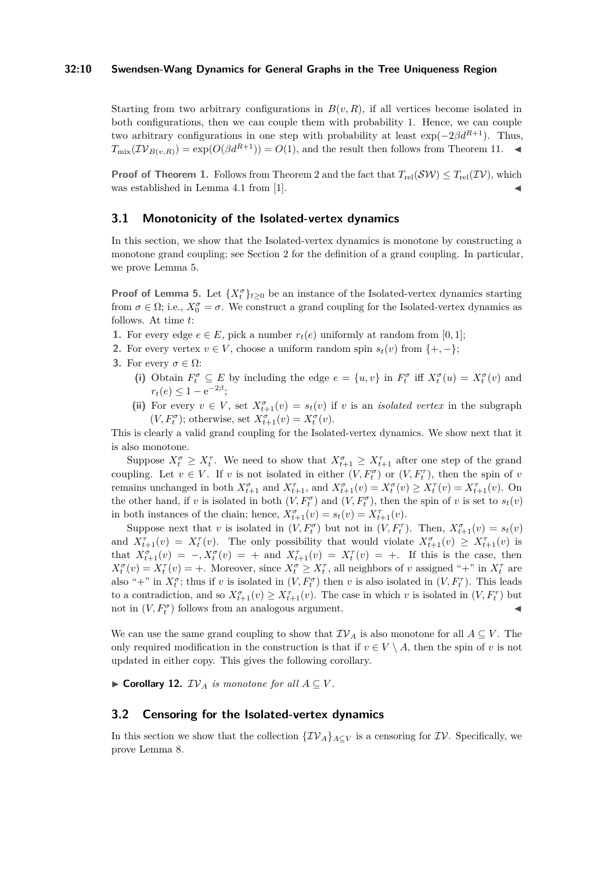#### **32:10 Swendsen-Wang Dynamics for General Graphs in the Tree Uniqueness Region**

Starting from two arbitrary configurations in  $B(v, R)$ , if all vertices become isolated in both configurations, then we can couple them with probability 1. Hence, we can couple two arbitrary configurations in one step with probability at least  $\exp(-2\beta d^{R+1})$ . Thus,  $T_{\text{mix}}(\mathcal{IV}_{B(v,R)}) = \exp(O(\beta d^{R+1})) = O(1)$ , and the result then follows from Theorem [11.](#page-8-2)

**Proof of Theorem [1.](#page-3-0)** Follows from Theorem [2](#page-3-1) and the fact that  $T_{rel}(\mathcal{SW}) \leq T_{rel}(\mathcal{IV})$ , which was established in Lemma 4.1 from [\[1\]](#page-12-13).

## <span id="page-9-0"></span>**3.1 Monotonicity of the Isolated-vertex dynamics**

In this section, we show that the Isolated-vertex dynamics is monotone by constructing a monotone grand coupling; see Section [2](#page-4-0) for the definition of a grand coupling. In particular, we prove Lemma [5.](#page-6-1)

**Proof of Lemma [5.](#page-6-1)** Let  $\{X_t^{\sigma}\}_{t\geq0}$  be an instance of the Isolated-vertex dynamics starting from  $\sigma \in \Omega$ ; i.e.,  $X_0^{\sigma} = \sigma$ . We construct a grand coupling for the Isolated-vertex dynamics as follows. At time *t*:

- **1.** For every edge  $e \in E$ , pick a number  $r_t(e)$  uniformly at random from [0, 1];
- **2.** For every vertex  $v \in V$ , choose a uniform random spin  $s_t(v)$  from  $\{+, -\}$ ;
- **3.** For every  $\sigma \in \Omega$ :
	- (i) Obtain  $F_t^{\sigma} \subseteq E$  by including the edge  $e = \{u, v\}$  in  $F_t^{\sigma}$  iff  $X_t^{\sigma}(u) = X_t^{\sigma}(v)$  and  $r_t(e) \leq 1 - e^{-2\beta}$ ;
	- (ii) For every  $v \in V$ , set  $X_{t+1}^{\sigma}(v) = s_t(v)$  if *v* is an *isolated vertex* in the subgraph  $(V, F_t^{\sigma})$ ; otherwise, set  $X_{t+1}^{\sigma}(v) = X_t^{\sigma}(v)$ .

This is clearly a valid grand coupling for the Isolated-vertex dynamics. We show next that it is also monotone.

Suppose  $X_t^{\sigma} \geq X_t^{\tau}$ . We need to show that  $X_{t+1}^{\sigma} \geq X_{t+1}^{\tau}$  after one step of the grand coupling. Let  $v \in V$ . If *v* is not isolated in either  $(V, F_t^{\sigma})$  or  $(V, F_t^{\tau})$ , then the spin of *v* remains unchanged in both  $X_{t+1}^{\sigma}$  and  $X_{t+1}^{\tau}$ , and  $X_{t+1}^{\sigma}(v) = X_t^{\sigma}(v) \ge X_t^{\tau}(v) = X_{t+1}^{\tau}(v)$ . On the other hand, if *v* is isolated in both  $(V, F_t^{\sigma})$  and  $(V, F_t^{\sigma})$ , then the spin of *v* is set to  $s_t(v)$ in both instances of the chain; hence,  $X_{t+1}^{\sigma}(v) = s_t(v) = X_{t+1}^{\tau}(v)$ .

Suppose next that *v* is isolated in  $(V, F_t^{\sigma})$  but not in  $(V, F_t^{\tau})$ . Then,  $X_{t+1}^{\sigma}(v) = s_t(v)$ and  $X_{t+1}^{\tau}(v) = X_t^{\tau}(v)$ . The only possibility that would violate  $X_{t+1}^{\sigma}(v) \ge X_{t+1}^{\tau}(v)$  is that  $X_{t+1}^{\sigma}(v) = -X_t^{\sigma}(v) = +$  and  $X_{t+1}^{\tau}(v) = X_t^{\tau}(v) = +$ . If this is the case, then  $X_t^{\sigma}(v) = X_t^{\tau}(v) = +$ . Moreover, since  $X_t^{\sigma} \ge X_t^{\tau}$ , all neighbors of *v* assigned "+" in  $X_t^{\tau}$  are also "+" in  $X_t^{\sigma}$ ; thus if *v* is isolated in  $(V, F_t^{\sigma})$  then *v* is also isolated in  $(V, F_t^{\tau})$ . This leads to a contradiction, and so  $X_{t+1}^{\sigma}(v) \geq X_{t+1}^{\tau}(v)$ . The case in which *v* is isolated in  $(V, F_t^{\tau})$  but not in  $(V, F_t^{\sigma})$  follows from an analogous argument.

We can use the same grand coupling to show that  $TV_A$  is also monotone for all  $A \subseteq V$ . The only required modification in the construction is that if  $v \in V \setminus A$ , then the spin of *v* is not updated in either copy. This gives the following corollary.

<span id="page-9-2"></span>▶ Corollary 12.  $IV_A$  *is monotone for all*  $A ⊆ V$ .

# <span id="page-9-1"></span>**3.2 Censoring for the Isolated-vertex dynamics**

In this section we show that the collection  $\{\mathcal{IV}_A\}_{A\subset V}$  is a censoring for  $\mathcal{IV}$ . Specifically, we prove Lemma [8.](#page-7-1)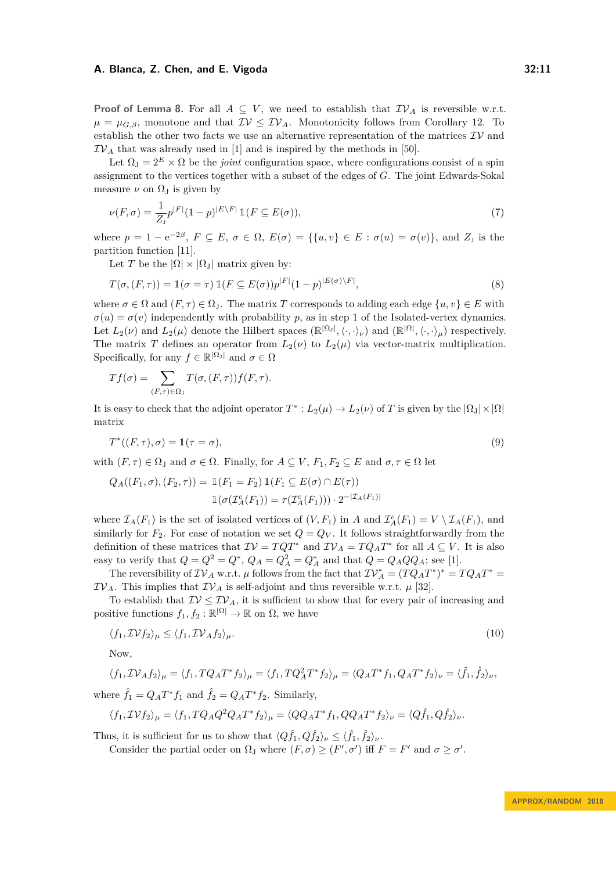**Proof of Lemma [8.](#page-7-1)** For all  $A \subseteq V$ , we need to establish that  $\mathcal{IV}_A$  is reversible w.r.t.  $\mu = \mu_{G,\beta}$ , monotone and that  $\mathcal{IV} \leq \mathcal{IV}_A$ . Monotonicity follows from Corollary [12.](#page-9-2) To establish the other two facts we use an alternative representation of the matrices  $\mathcal{IV}$  and  $TV_A$  that was already used in [\[1\]](#page-12-13) and is inspired by the methods in [\[50\]](#page-14-6).

Let  $\Omega_J = 2^E \times \Omega$  be the *joint* configuration space, where configurations consist of a spin assignment to the vertices together with a subset of the edges of *G*. The joint Edwards-Sokal measure  $\nu$  on  $\Omega_J$  is given by

$$
\nu(F,\sigma) = \frac{1}{Z_{\mathrm{J}}} p^{|F|} (1-p)^{|E \setminus F|} \mathbbm{1}(F \subseteq E(\sigma)),\tag{7}
$$

where  $p = 1 - e^{-2\beta}$ ,  $F \subseteq E$ ,  $\sigma \in \Omega$ ,  $E(\sigma) = \{\{u, v\} \in E : \sigma(u) = \sigma(v)\}$ , and  $Z_j$  is the partition function [\[11\]](#page-12-7).

Let *T* be the  $|\Omega| \times |\Omega_{\text{J}}|$  matrix given by:

$$
T(\sigma, (F, \tau)) = \mathbb{1}(\sigma = \tau) \, \mathbb{1}(F \subseteq E(\sigma)) p^{|F|} (1 - p)^{|E(\sigma) \setminus F|},\tag{8}
$$

where  $\sigma \in \Omega$  and  $(F, \tau) \in \Omega_1$ . The matrix *T* corresponds to adding each edge  $\{u, v\} \in E$  with  $\sigma(u) = \sigma(v)$  independently with probability *p*, as in step 1 of the Isolated-vertex dynamics. Let  $L_2(\nu)$  and  $L_2(\mu)$  denote the Hilbert spaces  $(\mathbb{R}^{|\Omega_1|}, \langle \cdot, \cdot \rangle_{\nu})$  and  $(\mathbb{R}^{|\Omega|}, \langle \cdot, \cdot \rangle_{\mu})$  respectively. The matrix *T* defines an operator from  $L_2(\nu)$  to  $L_2(\mu)$  via vector-matrix multiplication. Specifically, for any  $f \in \mathbb{R}^{|\Omega_{\text{J}}|}$  and  $\sigma \in \Omega$ 

$$
Tf(\sigma) = \sum_{(F,\tau) \in \Omega_J} T(\sigma, (F,\tau)) f(F,\tau).
$$

It is easy to check that the adjoint operator  $T^* : L_2(\mu) \to L_2(\nu)$  of *T* is given by the  $|\Omega_{\rm J}| \times |\Omega|$ matrix

$$
T^*((F,\tau),\sigma) = \mathbb{1}(\tau = \sigma),\tag{9}
$$

with  $(F, \tau) \in \Omega$ <sub>J</sub> and  $\sigma \in \Omega$ . Finally, for  $A \subseteq V$ ,  $F_1, F_2 \subseteq E$  and  $\sigma, \tau \in \Omega$  let

$$
Q_A((F_1, \sigma), (F_2, \tau)) = \mathbb{1}(F_1 = F_2) \mathbb{1}(F_1 \subseteq E(\sigma) \cap E(\tau))
$$

$$
\mathbb{1}(\sigma(\mathcal{I}_A^c(F_1)) = \tau(\mathcal{I}_A^c(F_1))) \cdot 2^{-|\mathcal{I}_A(F_1)|}
$$

where  $\mathcal{I}_A(F_1)$  is the set of isolated vertices of  $(V, F_1)$  in *A* and  $\mathcal{I}_A^c(F_1) = V \setminus \mathcal{I}_A(F_1)$ , and similarly for  $F_2$ . For ease of notation we set  $Q = Q_V$ . It follows straightforwardly from the definition of these matrices that  $\mathcal{IV} = TQT^*$  and  $\mathcal{IV}_A = TQ_A T^*$  for all  $A \subseteq V$ . It is also easy to verify that  $Q = Q^2 = Q^*$ ,  $Q_A = Q_A^2 = Q_A^*$  and that  $Q = Q_A Q Q_A$ ; see [\[1\]](#page-12-13).

The reversibility of  $\mathcal{IV}_A$  w.r.t.  $\mu$  follows from the fact that  $\mathcal{IV}_A^* = (TQ_AT^*)^* = TQ_AT^*$  $TV_A$ . This implies that  $TV_A$  is self-adjoint and thus reversible w.r.t.  $\mu$  [\[32\]](#page-13-17).

To establish that  $\mathcal{IV} \leq \mathcal{IV}_A$ , it is sufficient to show that for every pair of increasing and positive functions  $f_1, f_2 : \mathbb{R}^{\vert \Omega \vert} \to \mathbb{R}$  on  $\Omega$ , we have

<span id="page-10-0"></span>
$$
\langle f_1, \mathcal{IV} f_2 \rangle_{\mu} \le \langle f_1, \mathcal{IV}_A f_2 \rangle_{\mu}.\tag{10}
$$

Now,

$$
\langle f_1, \mathcal{IV}_A f_2 \rangle_{\mu} = \langle f_1, TQ_A T^* f_2 \rangle_{\mu} = \langle f_1, TQ_A^2 T^* f_2 \rangle_{\mu} = \langle Q_A T^* f_1, Q_A T^* f_2 \rangle_{\nu} = \langle \hat{f}_1, \hat{f}_2 \rangle_{\nu},
$$

where  $\hat{f}_1 = Q_A T^* f_1$  and  $\hat{f}_2 = Q_A T^* f_2$ . Similarly,

$$
\langle f_1, \mathcal{IV} f_2 \rangle_{\mu} = \langle f_1, TQ_A Q^2 Q_A T^* f_2 \rangle_{\mu} = \langle QQ_A T^* f_1, QQ_A T^* f_2 \rangle_{\nu} = \langle Q \hat{f}_1, Q \hat{f}_2 \rangle_{\nu}.
$$

Thus, it is sufficient for us to show that  $\langle Q \hat{f}_1, Q \hat{f}_2 \rangle_{\nu} \le \langle \hat{f}_1, \hat{f}_2 \rangle_{\nu}$ . Consider the partial order on  $\Omega_J$  where  $(F, \sigma) \geq (F', \sigma')$  iff  $F = F'$  and  $\sigma \geq \sigma'$ .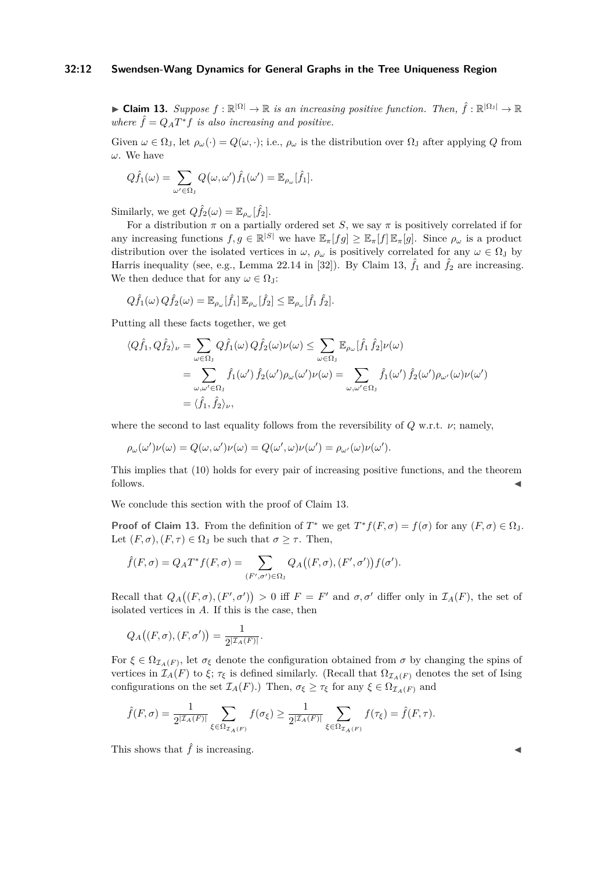# **32:12 Swendsen-Wang Dynamics for General Graphs in the Tree Uniqueness Region**

<span id="page-11-0"></span>**► Claim 13.** Suppose  $f : \mathbb{R}^{|\Omega|} \to \mathbb{R}$  is an increasing positive function. Then,  $\hat{f} : \mathbb{R}^{|\Omega_1|} \to \mathbb{R}$ *where*  $\hat{f} = Q_A T^* f$  *is also increasing and positive.* 

Given  $\omega \in \Omega_I$ , let  $\rho_\omega(\cdot) = Q(\omega, \cdot)$ ; i.e.,  $\rho_\omega$  is the distribution over  $\Omega_I$  after applying *Q* from *ω*. We have

$$
Q\hat{f}_1(\omega) = \sum_{\omega' \in \Omega_J} Q(\omega, \omega')\hat{f}_1(\omega') = \mathbb{E}_{\rho_{\omega}}[\hat{f}_1].
$$

Similarly, we get  $Q\hat{f}_2(\omega) = \mathbb{E}_{\rho_\omega}[\hat{f}_2].$ 

For a distribution  $\pi$  on a partially ordered set *S*, we say  $\pi$  is positively correlated if for any increasing functions  $f, g \in \mathbb{R}^{|S|}$  we have  $\mathbb{E}_{\pi}[fg] \geq \mathbb{E}_{\pi}[f]\mathbb{E}_{\pi}[g]$ . Since  $\rho_{\omega}$  is a product distribution over the isolated vertices in  $\omega$ ,  $\rho_{\omega}$  is positively correlated for any  $\omega \in \Omega$ <sub>J</sub> by Harris inequality (see, e.g., Lemma 22.14 in [\[32\]](#page-13-17)). By Claim [13,](#page-11-0)  $\hat{f}_1$  and  $\hat{f}_2$  are increasing. We then deduce that for any  $\omega \in \Omega$ <sub>J</sub>:

$$
Q\hat{f}_1(\omega) Q\hat{f}_2(\omega) = \mathbb{E}_{\rho_{\omega}}[\hat{f}_1] \mathbb{E}_{\rho_{\omega}}[\hat{f}_2] \leq \mathbb{E}_{\rho_{\omega}}[\hat{f}_1 \hat{f}_2].
$$

Putting all these facts together, we get

$$
\langle Q\hat{f}_1, Q\hat{f}_2 \rangle_{\nu} = \sum_{\omega \in \Omega_J} Q\hat{f}_1(\omega) Q\hat{f}_2(\omega) \nu(\omega) \le \sum_{\omega \in \Omega_J} \mathbb{E}_{\rho_{\omega}}[\hat{f}_1 \hat{f}_2] \nu(\omega)
$$
  
= 
$$
\sum_{\omega, \omega' \in \Omega_J} \hat{f}_1(\omega') \hat{f}_2(\omega') \rho_{\omega}(\omega') \nu(\omega) = \sum_{\omega, \omega' \in \Omega_J} \hat{f}_1(\omega') \hat{f}_2(\omega') \rho_{\omega'}(\omega) \nu(\omega')
$$
  
= 
$$
\langle \hat{f}_1, \hat{f}_2 \rangle_{\nu},
$$

where the second to last equality follows from the reversibility of *Q* w.r.t. *ν*; namely,

$$
\rho_{\omega}(\omega')\nu(\omega) = Q(\omega, \omega')\nu(\omega) = Q(\omega', \omega)\nu(\omega') = \rho_{\omega'}(\omega)\nu(\omega').
$$

This implies that [\(10\)](#page-10-0) holds for every pair of increasing positive functions, and the theorem follows.

We conclude this section with the proof of Claim [13.](#page-11-0)

**Proof of Claim [13.](#page-11-0)** From the definition of  $T^*$  we get  $T^*f(F,\sigma) = f(\sigma)$  for any  $(F,\sigma) \in \Omega_J$ . Let  $(F, \sigma)$ *,* $(F, \tau) \in \Omega$ <sub>J</sub> be such that  $\sigma \geq \tau$ . Then,

$$
\hat{f}(F,\sigma) = Q_A T^* f(F,\sigma) = \sum_{(F',\sigma') \in \Omega_J} Q_A((F,\sigma),(F',\sigma')) f(\sigma').
$$

Recall that  $Q_A((F, \sigma), (F', \sigma')) > 0$  iff  $F = F'$  and  $\sigma, \sigma'$  differ only in  $\mathcal{I}_A(F)$ , the set of isolated vertices in *A*. If this is the case, then

$$
Q_A((F,\sigma),(F,\sigma'))=\frac{1}{2^{|{\cal I}_A(F)|}}.
$$

For  $\xi \in \Omega_{\mathcal{I}_A(F)}$ , let  $\sigma_{\xi}$  denote the configuration obtained from  $\sigma$  by changing the spins of vertices in  $\mathcal{I}_A(F)$  to  $\xi$ ;  $\tau_{\xi}$  is defined similarly. (Recall that  $\Omega_{\mathcal{I}_A(F)}$  denotes the set of Ising configurations on the set  $\mathcal{I}_A(F)$ .) Then,  $\sigma_{\xi} \geq \tau_{\xi}$  for any  $\xi \in \Omega_{\mathcal{I}_A(F)}$  and

$$
\hat{f}(F,\sigma) = \frac{1}{2^{\vert \mathcal{I}_A(F) \vert}} \sum_{\xi \in \Omega_{\mathcal{I}_A(F)}} f(\sigma_{\xi}) \ge \frac{1}{2^{\vert \mathcal{I}_A(F) \vert}} \sum_{\xi \in \Omega_{\mathcal{I}_A(F)}} f(\tau_{\xi}) = \hat{f}(F,\tau).
$$

This shows that  $\hat{f}$  is increasing.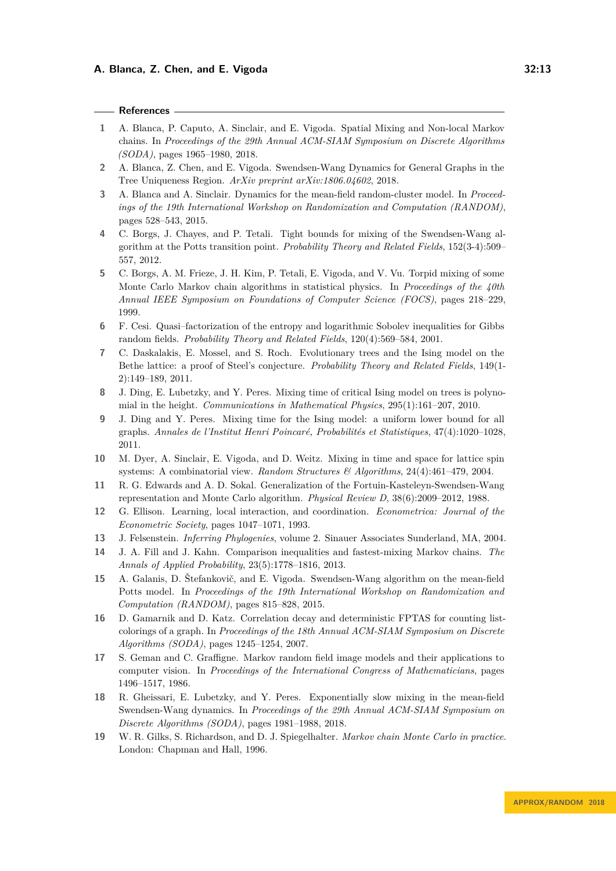## **References**

- <span id="page-12-13"></span>**1** A. Blanca, P. Caputo, A. Sinclair, and E. Vigoda. Spatial Mixing and Non-local Markov chains. In *Proceedings of the 29th Annual ACM-SIAM Symposium on Discrete Algorithms (SODA)*, pages 1965–1980, 2018.
- <span id="page-12-16"></span>**2** A. Blanca, Z. Chen, and E. Vigoda. Swendsen-Wang Dynamics for General Graphs in the Tree Uniqueness Region. *ArXiv preprint arXiv:1806.04602*, 2018.
- <span id="page-12-9"></span>**3** A. Blanca and A. Sinclair. Dynamics for the mean-field random-cluster model. In *Proceedings of the 19th International Workshop on Randomization and Computation (RANDOM)*, pages 528–543, 2015.
- <span id="page-12-11"></span>**4** C. Borgs, J. Chayes, and P. Tetali. Tight bounds for mixing of the Swendsen-Wang algorithm at the Potts transition point. *Probability Theory and Related Fields*, 152(3-4):509– 557, 2012.
- <span id="page-12-12"></span>**5** C. Borgs, A. M. Frieze, J. H. Kim, P. Tetali, E. Vigoda, and V. Vu. Torpid mixing of some Monte Carlo Markov chain algorithms in statistical physics. In *Proceedings of the 40th Annual IEEE Symposium on Foundations of Computer Science (FOCS)*, pages 218–229, 1999.
- <span id="page-12-5"></span>**6** F. Cesi. Quasi–factorization of the entropy and logarithmic Sobolev inequalities for Gibbs random fields. *Probability Theory and Related Fields*, 120(4):569–584, 2001.
- <span id="page-12-1"></span>**7** C. Daskalakis, E. Mossel, and S. Roch. Evolutionary trees and the Ising model on the Bethe lattice: a proof of Steel's conjecture. *Probability Theory and Related Fields*, 149(1- 2):149–189, 2011.
- <span id="page-12-17"></span>**8** J. Ding, E. Lubetzky, and Y. Peres. Mixing time of critical Ising model on trees is polynomial in the height. *Communications in Mathematical Physics*, 295(1):161–207, 2010.
- <span id="page-12-18"></span>**9** J. Ding and Y. Peres. Mixing time for the Ising model: a uniform lower bound for all graphs. *Annales de l'Institut Henri Poincaré, Probabilités et Statistiques*, 47(4):1020–1028, 2011.
- <span id="page-12-6"></span>**10** M. Dyer, A. Sinclair, E. Vigoda, and D. Weitz. Mixing in time and space for lattice spin systems: A combinatorial view. *Random Structures & Algorithms*, 24(4):461–479, 2004.
- <span id="page-12-7"></span>**11** R. G. Edwards and A. D. Sokal. Generalization of the Fortuin-Kasteleyn-Swendsen-Wang representation and Monte Carlo algorithm. *Physical Review D*, 38(6):2009–2012, 1988.
- <span id="page-12-3"></span>**12** G. Ellison. Learning, local interaction, and coordination. *Econometrica: Journal of the Econometric Society*, pages 1047–1071, 1993.
- <span id="page-12-4"></span>**13** J. Felsenstein. *Inferring Phylogenies*, volume 2. Sinauer Associates Sunderland, MA, 2004.
- <span id="page-12-15"></span>**14** J. A. Fill and J. Kahn. Comparison inequalities and fastest-mixing Markov chains. *The Annals of Applied Probability*, 23(5):1778–1816, 2013.
- <span id="page-12-8"></span>**15** A. Galanis, D. Štefankovič, and E. Vigoda. Swendsen-Wang algorithm on the mean-field Potts model. In *Proceedings of the 19th International Workshop on Randomization and Computation (RANDOM)*, pages 815–828, 2015.
- <span id="page-12-14"></span>**16** D. Gamarnik and D. Katz. Correlation decay and deterministic FPTAS for counting listcolorings of a graph. In *Proceedings of the 18th Annual ACM-SIAM Symposium on Discrete Algorithms (SODA)*, pages 1245–1254, 2007.
- <span id="page-12-2"></span>**17** S. Geman and C. Graffigne. Markov random field image models and their applications to computer vision. In *Proceedings of the International Congress of Mathematicians*, pages 1496–1517, 1986.
- <span id="page-12-10"></span>**18** R. Gheissari, E. Lubetzky, and Y. Peres. Exponentially slow mixing in the mean-field Swendsen-Wang dynamics. In *Proceedings of the 29th Annual ACM-SIAM Symposium on Discrete Algorithms (SODA)*, pages 1981–1988, 2018.
- <span id="page-12-0"></span>**19** W. R. Gilks, S. Richardson, and D. J. Spiegelhalter. *Markov chain Monte Carlo in practice*. London: Chapman and Hall, 1996.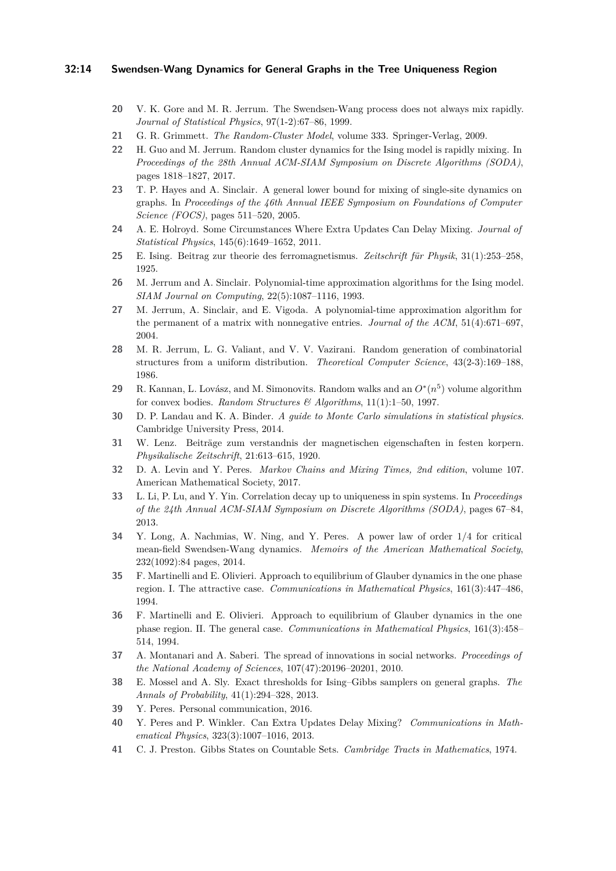#### **32:14 Swendsen-Wang Dynamics for General Graphs in the Tree Uniqueness Region**

- <span id="page-13-10"></span>**20** V. K. Gore and M. R. Jerrum. The Swendsen-Wang process does not always mix rapidly. *Journal of Statistical Physics*, 97(1-2):67–86, 1999.
- <span id="page-13-11"></span>**21** G. R. Grimmett. *The Random-Cluster Model*, volume 333. Springer-Verlag, 2009.
- <span id="page-13-12"></span>**22** H. Guo and M. Jerrum. Random cluster dynamics for the Ising model is rapidly mixing. In *Proceedings of the 28th Annual ACM-SIAM Symposium on Discrete Algorithms (SODA)*, pages 1818–1827, 2017.
- <span id="page-13-21"></span>**23** T. P. Hayes and A. Sinclair. A general lower bound for mixing of single-site dynamics on graphs. In *Proceedings of the 46th Annual IEEE Symposium on Foundations of Computer Science (FOCS)*, pages 511–520, 2005.
- <span id="page-13-20"></span>**24** A. E. Holroyd. Some Circumstances Where Extra Updates Can Delay Mixing. *Journal of Statistical Physics*, 145(6):1649–1652, 2011.
- <span id="page-13-1"></span>**25** E. Ising. Beitrag zur theorie des ferromagnetismus. *Zeitschrift für Physik*, 31(1):253–258, 1925.
- <span id="page-13-4"></span>**26** M. Jerrum and A. Sinclair. Polynomial-time approximation algorithms for the Ising model. *SIAM Journal on Computing*, 22(5):1087–1116, 1993.
- <span id="page-13-15"></span>**27** M. Jerrum, A. Sinclair, and E. Vigoda. A polynomial-time approximation algorithm for the permanent of a matrix with nonnegative entries. *Journal of the ACM*, 51(4):671–697, 2004.
- <span id="page-13-0"></span>**28** M. R. Jerrum, L. G. Valiant, and V. V. Vazirani. Random generation of combinatorial structures from a uniform distribution. *Theoretical Computer Science*, 43(2-3):169–188, 1986.
- <span id="page-13-16"></span>29 R. Kannan, L. Lovász, and M. Simonovits. Random walks and an  $O^*(n^5)$  volume algorithm for convex bodies. *Random Structures & Algorithms*, 11(1):1–50, 1997.
- <span id="page-13-9"></span>**30** D. P. Landau and K. A. Binder. *A guide to Monte Carlo simulations in statistical physics*. Cambridge University Press, 2014.
- <span id="page-13-2"></span>**31** W. Lenz. Beiträge zum verstandnis der magnetischen eigenschaften in festen korpern. *Physikalische Zeitschrift*, 21:613–615, 1920.
- <span id="page-13-17"></span>**32** D. A. Levin and Y. Peres. *Markov Chains and Mixing Times, 2nd edition*, volume 107. American Mathematical Society, 2017.
- <span id="page-13-8"></span>**33** L. Li, P. Lu, and Y. Yin. Correlation decay up to uniqueness in spin systems. In *Proceedings of the 24th Annual ACM-SIAM Symposium on Discrete Algorithms (SODA)*, pages 67–84, 2013.
- <span id="page-13-14"></span>**34** Y. Long, A. Nachmias, W. Ning, and Y. Peres. A power law of order 1/4 for critical mean-field Swendsen-Wang dynamics. *Memoirs of the American Mathematical Society*, 232(1092):84 pages, 2014.
- <span id="page-13-5"></span>**35** F. Martinelli and E. Olivieri. Approach to equilibrium of Glauber dynamics in the one phase region. I. The attractive case. *Communications in Mathematical Physics*, 161(3):447–486, 1994.
- <span id="page-13-19"></span>**36** F. Martinelli and E. Olivieri. Approach to equilibrium of Glauber dynamics in the one phase region. II. The general case. *Communications in Mathematical Physics*, 161(3):458– 514, 1994.
- <span id="page-13-3"></span>**37** A. Montanari and A. Saberi. The spread of innovations in social networks. *Proceedings of the National Academy of Sciences*, 107(47):20196–20201, 2010.
- <span id="page-13-6"></span>**38** E. Mossel and A. Sly. Exact thresholds for Ising–Gibbs samplers on general graphs. *The Annals of Probability*, 41(1):294–328, 2013.
- <span id="page-13-13"></span>**39** Y. Peres. Personal communication, 2016.
- <span id="page-13-18"></span>**40** Y. Peres and P. Winkler. Can Extra Updates Delay Mixing? *Communications in Mathematical Physics*, 323(3):1007–1016, 2013.
- <span id="page-13-7"></span>**41** C. J. Preston. Gibbs States on Countable Sets. *Cambridge Tracts in Mathematics*, 1974.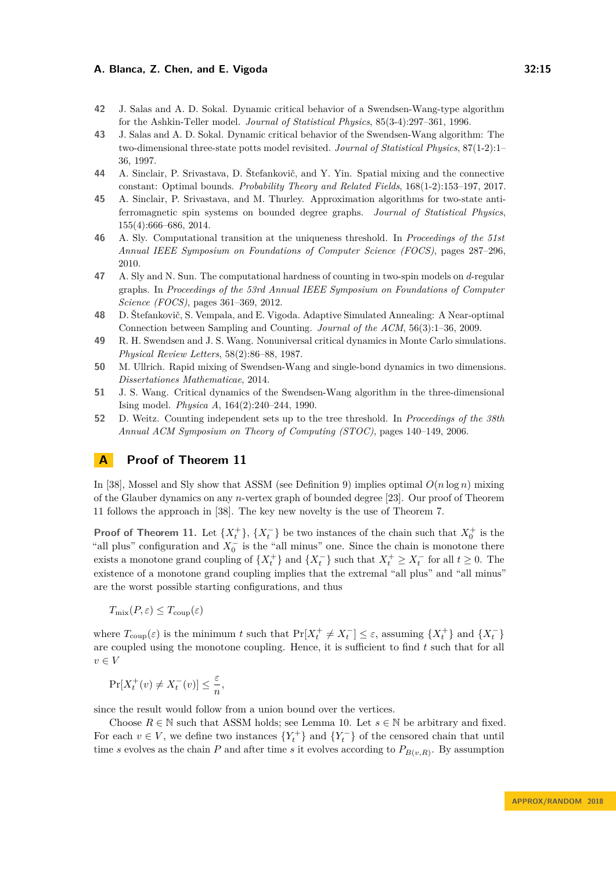- <span id="page-14-4"></span>**42** J. Salas and A. D. Sokal. Dynamic critical behavior of a Swendsen-Wang-type algorithm for the Ashkin-Teller model. *Journal of Statistical Physics*, 85(3-4):297–361, 1996.
- <span id="page-14-5"></span>**43** J. Salas and A. D. Sokal. Dynamic critical behavior of the Swendsen-Wang algorithm: The two-dimensional three-state potts model revisited. *Journal of Statistical Physics*, 87(1-2):1– 36, 1997.
- <span id="page-14-8"></span>**44** A. Sinclair, P. Srivastava, D. Štefankovič, and Y. Yin. Spatial mixing and the connective constant: Optimal bounds. *Probability Theory and Related Fields*, 168(1-2):153–197, 2017.
- <span id="page-14-7"></span>**45** A. Sinclair, P. Srivastava, and M. Thurley. Approximation algorithms for two-state antiferromagnetic spin systems on bounded degree graphs. *Journal of Statistical Physics*, 155(4):666–686, 2014.
- <span id="page-14-9"></span>**46** A. Sly. Computational transition at the uniqueness threshold. In *Proceedings of the 51st Annual IEEE Symposium on Foundations of Computer Science (FOCS)*, pages 287–296, 2010.
- <span id="page-14-10"></span>**47** A. Sly and N. Sun. The computational hardness of counting in two-spin models on *d*-regular graphs. In *Proceedings of the 53rd Annual IEEE Symposium on Foundations of Computer Science (FOCS)*, pages 361–369, 2012.
- <span id="page-14-0"></span>**48** D. Štefankovič, S. Vempala, and E. Vigoda. Adaptive Simulated Annealing: A Near-optimal Connection between Sampling and Counting. *Journal of the ACM*, 56(3):1–36, 2009.
- <span id="page-14-2"></span>**49** R. H. Swendsen and J. S. Wang. Nonuniversal critical dynamics in Monte Carlo simulations. *Physical Review Letters*, 58(2):86–88, 1987.
- <span id="page-14-6"></span>**50** M. Ullrich. Rapid mixing of Swendsen-Wang and single-bond dynamics in two dimensions. *Dissertationes Mathematicae*, 2014.
- <span id="page-14-3"></span>**51** J. S. Wang. Critical dynamics of the Swendsen-Wang algorithm in the three-dimensional Ising model. *Physica A*, 164(2):240–244, 1990.
- <span id="page-14-1"></span>**52** D. Weitz. Counting independent sets up to the tree threshold. In *Proceedings of the 38th Annual ACM Symposium on Theory of Computing (STOC)*, pages 140–149, 2006.

# <span id="page-14-11"></span>**A Proof of Theorem [11](#page-8-2)**

In [\[38\]](#page-13-6), Mossel and Sly show that ASSM (see Definition [9\)](#page-8-0) implies optimal  $O(n \log n)$  mixing of the Glauber dynamics on any *n*-vertex graph of bounded degree [\[23\]](#page-13-21). Our proof of Theorem [11](#page-8-2) follows the approach in [\[38\]](#page-13-6). The key new novelty is the use of Theorem [7.](#page-7-0)

**Proof of Theorem [11.](#page-8-2)** Let  $\{X_t^+\}$ ,  $\{X_t^-\}$  be two instances of the chain such that  $X_0^+$  is the "all plus" configuration and  $X_0^-$  is the "all minus" one. Since the chain is monotone there exists a monotone grand coupling of  $\{X_t^+\}$  and  $\{X_t^-\}$  such that  $X_t^+ \ge X_t^-$  for all  $t \ge 0$ . The existence of a monotone grand coupling implies that the extremal "all plus" and "all minus" are the worst possible starting configurations, and thus

 $T_{\text{mix}}(P, \varepsilon) \leq T_{\text{coup}}(\varepsilon)$ 

where  $T_{\text{coup}}(\varepsilon)$  is the minimum *t* such that  $\Pr[X_t^+ \neq X_t^-] \leq \varepsilon$ , assuming  $\{X_t^+\}$  and  $\{X_t^-\}$ are coupled using the monotone coupling. Hence, it is sufficient to find *t* such that for all  $v \in V$ 

$$
\Pr[X_t^+(v) \neq X_t^-(v)] \le \frac{\varepsilon}{n},
$$

since the result would follow from a union bound over the vertices.

Choose  $R \in \mathbb{N}$  such that ASSM holds; see Lemma [10.](#page-8-1) Let  $s \in \mathbb{N}$  be arbitrary and fixed. For each  $v \in V$ , we define two instances  $\{Y_t^+\}$  and  $\{Y_t^-\}$  of the censored chain that until time *s* evolves as the chain *P* and after time *s* it evolves according to  $P_{B(v,R)}$ . By assumption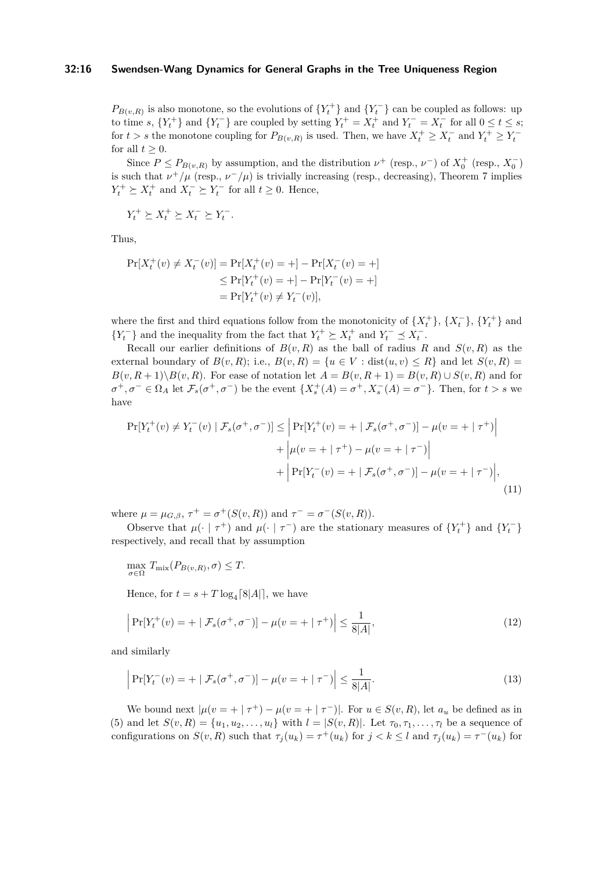#### **32:16 Swendsen-Wang Dynamics for General Graphs in the Tree Uniqueness Region**

 $P_{B(v,R)}$  is also monotone, so the evolutions of  ${Y<sub>t</sub><sup>+</sup>}$  and  ${Y<sub>t</sub><sup>-</sup>}$  can be coupled as follows: up to time *s*,  $\{Y_t^+\}$  and  $\{Y_t^-\}$  are coupled by setting  $Y_t^+ = X_t^+$  and  $Y_t^- = X_t^-$  for all  $0 \le t \le s$ ; for  $t > s$  the monotone coupling for  $P_{B(v,R)}$  is used. Then, we have  $X_t^+ \ge X_t^-$  and  $Y_t^+ \ge Y_t^$ for all  $t \geq 0$ .

Since  $P \le P_{B(v,R)}$  by assumption, and the distribution  $\nu^+$  (resp.,  $\nu^-$ ) of  $X_0^+$  (resp.,  $X_0^-$ ) is such that  $\nu^+/\mu$  (resp.,  $\nu^-/\mu$ ) is trivially increasing (resp., decreasing), Theorem [7](#page-7-0) implies  $Y_t^+ \succeq X_t^+$  and  $X_t^- \succeq Y_t^-$  for all  $t \geq 0$ . Hence,

$$
Y_t^+ \succeq X_t^+ \succeq X_t^- \succeq Y_t^-.
$$

Thus,

$$
Pr[X_t^+(v) \neq X_t^-(v)] = Pr[X_t^+(v) = +] - Pr[X_t^-(v) = +]
$$
  
\n
$$
\leq Pr[Y_t^+(v) = +] - Pr[Y_t^-(v) = +]
$$
  
\n
$$
= Pr[Y_t^+(v) \neq Y_t^-(v)],
$$

where the first and third equations follow from the monotonicity of  $\{X_t^+\}$ ,  $\{X_t^-\}$ ,  $\{Y_t^+\}$  and {*Y*<sup> $<sup>+</sup>$  } and the inequality from the fact that *Y*<sup> $<sup>+</sup>$ </sup>  $\geq X_t^+$  and *Y*<sup> $<sup>−</sup>$   $\leq X_t^-$ .</sup></sup></sup></sup></sup>

Recall our earlier definitions of  $B(v, R)$  as the ball of radius R and  $S(v, R)$  as the external boundary of  $B(v, R)$ ; i.e.,  $B(v, R) = \{u \in V : dist(u, v) \leq R\}$  and let  $S(v, R) =$  $B(v, R+1)\setminus B(v, R)$ . For ease of notation let  $A = B(v, R+1) = B(v, R) \cup S(v, R)$  and for  $\sigma^+$ ,  $\sigma^- \in \Omega_A$  let  $\mathcal{F}_s(\sigma^+$ ,  $\sigma^-)$  be the event  $\{X_s^+(A) = \sigma^+, X_s^-(A) = \sigma^- \}$ . Then, for  $t > s$  we have

<span id="page-15-2"></span>
$$
\Pr[Y_t^+(v) \neq Y_t^-(v) \mid \mathcal{F}_s(\sigma^+, \sigma^-)] \leq \left| \Pr[Y_t^+(v) = + \mid \mathcal{F}_s(\sigma^+, \sigma^-)] - \mu(v = + \mid \tau^+) \right| + \left| \mu(v = + \mid \tau^+) - \mu(v = + \mid \tau^-) \right| + \left| \Pr[Y_t^-(v) = + \mid \mathcal{F}_s(\sigma^+, \sigma^-)] - \mu(v = + \mid \tau^-) \right|,
$$
(11)

where  $\mu = \mu_{G,\beta}, \tau^+ = \sigma^+(S(v,R))$  and  $\tau^- = \sigma^-(S(v,R)).$ 

Observe that  $\mu(\cdot \mid \tau^+)$  and  $\mu(\cdot \mid \tau^-)$  are the stationary measures of  $\{Y_t^+\}$  and  $\{Y_t^-\}$ respectively, and recall that by assumption

 $\max_{\sigma \in \Omega} T_{\text{mix}}(P_{B(v,R)}, \sigma) \leq T.$ 

<span id="page-15-0"></span>Hence, for  $t = s + T \log_4[8|A|]$ , we have

$$
\left| \Pr[Y_t^+(v) = + \mid \mathcal{F}_s(\sigma^+, \sigma^-)] - \mu(v = + \mid \tau^+) \right| \le \frac{1}{8|A|},\tag{12}
$$

and similarly

<span id="page-15-1"></span>
$$
\left| \Pr[Y_t^-(v) = + \mid \mathcal{F}_s(\sigma^+, \sigma^-)] - \mu(v = + \mid \tau^-) \right| \le \frac{1}{8|A|}.
$$
\n(13)

We bound next  $|\mu(v = + \mid \tau^+) - \mu(v = + \mid \tau^-)|$ . For  $u \in S(v, R)$ , let  $a_u$  be defined as in [\(5\)](#page-8-3) and let  $S(v, R) = \{u_1, u_2, \ldots, u_l\}$  with  $l = |S(v, R)|$ . Let  $\tau_0, \tau_1, \ldots, \tau_l$  be a sequence of configurations on  $S(v, R)$  such that  $\tau_j(u_k) = \tau^+(u_k)$  for  $j < k \leq l$  and  $\tau_j(u_k) = \tau^-(u_k)$  for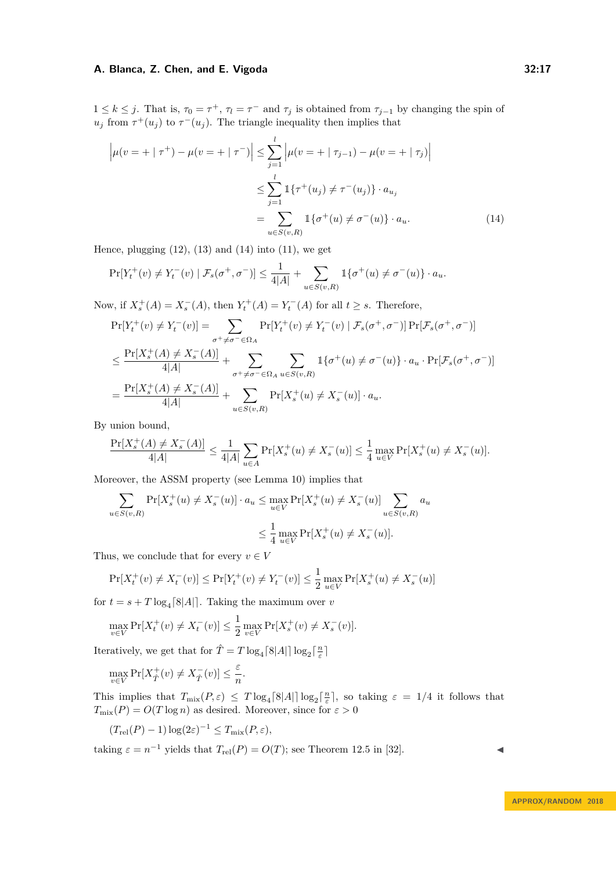$1 \leq k \leq j$ . That is,  $\tau_0 = \tau^+$ ,  $\tau_l = \tau^-$  and  $\tau_j$  is obtained from  $\tau_{j-1}$  by changing the spin of  $u_j$  from  $\tau^+(u_j)$  to  $\tau^-(u_j)$ . The triangle inequality then implies that

$$
\left| \mu(v = + | \tau^+) - \mu(v = + | \tau^-) \right| \le \sum_{j=1}^l \left| \mu(v = + | \tau_{j-1}) - \mu(v = + | \tau_j) \right|
$$
  

$$
\le \sum_{j=1}^l \mathbb{1} \{ \tau^+(u_j) \ne \tau^-(u_j) \} \cdot a_{u_j}
$$
  

$$
= \sum_{u \in S(v,R)} \mathbb{1} \{ \sigma^+(u) \ne \sigma^-(u) \} \cdot a_u.
$$
 (14)

Hence, plugging  $(12)$ ,  $(13)$  and  $(14)$  into  $(11)$ , we get

<span id="page-16-0"></span>
$$
\Pr[Y_t^+(v) \neq Y_t^-(v) \mid \mathcal{F}_s(\sigma^+, \sigma^-)] \leq \frac{1}{4|A|} + \sum_{u \in S(v, R)} \mathbb{1}\{\sigma^+(u) \neq \sigma^-(u)\} \cdot a_u.
$$

Now, if  $X_s^+(A) = X_s^-(A)$ , then  $Y_t^+(A) = Y_t^-(A)$  for all  $t \geq s$ . Therefore,

$$
\Pr[Y_t^+(v) \neq Y_t^-(v)] = \sum_{\sigma^+ \neq \sigma^- \in \Omega_A} \Pr[Y_t^+(v) \neq Y_t^-(v) \mid \mathcal{F}_s(\sigma^+, \sigma^-)] \Pr[\mathcal{F}_s(\sigma^+, \sigma^-)]
$$
  

$$
\leq \frac{\Pr[X_s^+(A) \neq X_s^-(A)]}{4|A|} + \sum_{\sigma^+ \neq \sigma^- \in \Omega_A} \sum_{u \in S(v,R)} 1\{\sigma^+(u) \neq \sigma^-(u)\} \cdot a_u \cdot \Pr[\mathcal{F}_s(\sigma^+, \sigma^-)]
$$
  

$$
= \frac{\Pr[X_s^+(A) \neq X_s^-(A)]}{4|A|} + \sum_{u \in S(v,R)} \Pr[X_s^+(u) \neq X_s^-(u)] \cdot a_u.
$$

By union bound,

$$
\frac{\Pr[X_s^+(A) \neq X_s^-(A)]}{4|A|} \le \frac{1}{4|A|} \sum_{u \in A} \Pr[X_s^+(u) \neq X_s^-(u)] \le \frac{1}{4} \max_{u \in V} \Pr[X_s^+(u) \neq X_s^-(u)].
$$

Moreover, the ASSM property (see Lemma [10\)](#page-8-1) implies that

$$
\sum_{u \in S(v,R)} \Pr[X_s^+(u) \neq X_s^-(u)] \cdot a_u \leq \max_{u \in V} \Pr[X_s^+(u) \neq X_s^-(u)] \sum_{u \in S(v,R)} a_u
$$
  

$$
\leq \frac{1}{4} \max_{u \in V} \Pr[X_s^+(u) \neq X_s^-(u)].
$$

Thus, we conclude that for every  $v \in V$ 

$$
\Pr[X_t^+(v) \neq X_t^-(v)] \le \Pr[Y_t^+(v) \neq Y_t^-(v)] \le \frac{1}{2} \max_{u \in V} \Pr[X_s^+(u) \neq X_s^-(u)]
$$

for  $t = s + T \log_4[8|A|]$ . Taking the maximum over *v* 

$$
\max_{v \in V} \Pr[X_t^+(v) \neq X_t^-(v)] \le \frac{1}{2} \max_{v \in V} \Pr[X_s^+(v) \neq X_s^-(v)].
$$

Iteratively, we get that for  $\hat{T} = T \log_4 \lceil 8|A| \rceil \log_2 \lceil \frac{n}{\varepsilon} \rceil$ 

$$
\max_{v \in V} \Pr[X_{\hat{T}}^+(v) \neq X_{\hat{T}}^-(v)] \leq \frac{\varepsilon}{n}.
$$

This implies that  $T_{\text{mix}}(P, \varepsilon) \leq T \log_4[8|A|] \log_2[\frac{n}{\varepsilon}]$ , so taking  $\varepsilon = 1/4$  it follows that  $T_{\text{mix}}(P) = O(T \log n)$  as desired. Moreover, since for  $\varepsilon > 0$ 

$$
(T_{\rm rel}(P) - 1) \log(2\varepsilon)^{-1} \le T_{\rm mix}(P, \varepsilon),
$$

taking  $\varepsilon = n^{-1}$  yields that  $T_{rel}(P) = O(T)$ ; see Theorem 12.5 in [\[32\]](#page-13-17).